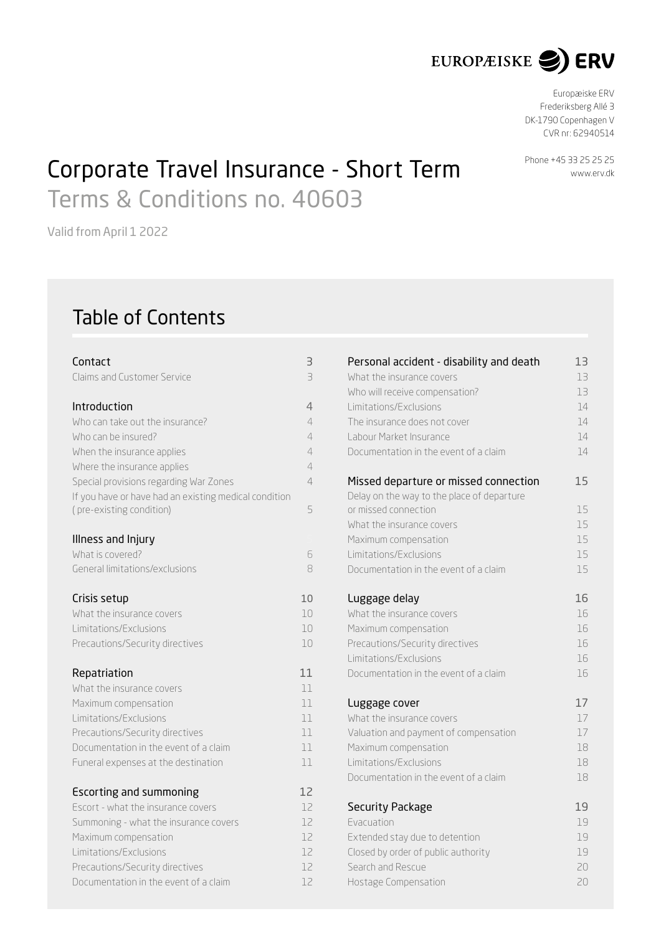

Europæiske ERV Frederiksberg Allé 3 DK-1790 Copenhagen V CVR nr : 62940514

# Corporate Travel Insurance - Short Term Phone +45 33 25 25 25 Terms & Conditions no. 40603

Valid from April 1 2022

## Table of Contents

| Contact                                                                  | З                       |
|--------------------------------------------------------------------------|-------------------------|
| Claims and Customer Service                                              | $\overline{\mathbf{B}}$ |
| Introduction                                                             | 4                       |
| Who can take out the insurance?                                          | 4                       |
| Who can be insured?                                                      | 4                       |
| When the insurance applies                                               | 4                       |
| Where the insurance applies                                              | 4                       |
| Special provisions regarding War Zones                                   | 4                       |
| If you have or have had an existing medical condition                    |                         |
| (pre-existing condition)                                                 | 5                       |
|                                                                          |                         |
| Illness and Injury                                                       |                         |
| What is covered?                                                         | 6                       |
| General limitations/exclusions                                           | 8                       |
|                                                                          |                         |
| Crisis setup                                                             | 10                      |
| What the insurance covers                                                | 10                      |
| Limitations/Exclusions                                                   | 10                      |
| Precautions/Security directives                                          | 10                      |
| Repatriation                                                             | 11                      |
| What the insurance covers                                                | 11                      |
| Maximum compensation                                                     | 11                      |
| Limitations/Exclusions                                                   | 11                      |
| Precautions/Security directives                                          | 11                      |
| Documentation in the event of a claim                                    | 11                      |
| Funeral expenses at the destination                                      | 11                      |
|                                                                          |                         |
| <b>Escorting and summoning</b>                                           | 12                      |
| Escort - what the insurance covers                                       | 12                      |
| Summoning - what the insurance covers                                    | 12                      |
| Maximum compensation                                                     | 12<br>12                |
| Limitations/Exclusions                                                   | 12                      |
| Precautions/Security directives<br>Documentation in the event of a claim |                         |
|                                                                          | 12                      |

| Personal accident - disability and death   | 13 |
|--------------------------------------------|----|
| What the insurance covers                  | 13 |
| Who will receive compensation?             | 13 |
| Limitations/Exclusions                     | 14 |
| The insurance does not cover               | 14 |
| Labour Market Insurance                    | 14 |
| Documentation in the event of a claim      | 14 |
| Missed departure or missed connection      | 15 |
| Delay on the way to the place of departure |    |
| or missed connection                       | 15 |
| What the insurance covers                  | 15 |
| Maximum compensation                       | 15 |
| Limitations/Exclusions                     | 15 |
| Documentation in the event of a claim      | 15 |
| Luggage delay                              | 16 |
| What the insurance covers                  | 16 |
| Maximum compensation                       | 16 |
| Precautions/Security directives            | 16 |
| Limitations/Exclusions                     | 16 |
| Documentation in the event of a claim      | 16 |
| Luggage cover                              | 17 |
| What the insurance covers                  | 17 |
| Valuation and payment of compensation      | 17 |
| Maximum compensation                       | 18 |
| Limitations/Exclusions                     | 18 |
| Documentation in the event of a claim      | 18 |
| <b>Security Package</b>                    | 19 |
| <b>Evacuation</b>                          | 19 |
| Extended stay due to detention             | 19 |
| Closed by order of public authority        | 19 |
| Search and Rescue                          | 20 |
| Hostage Compensation                       | 20 |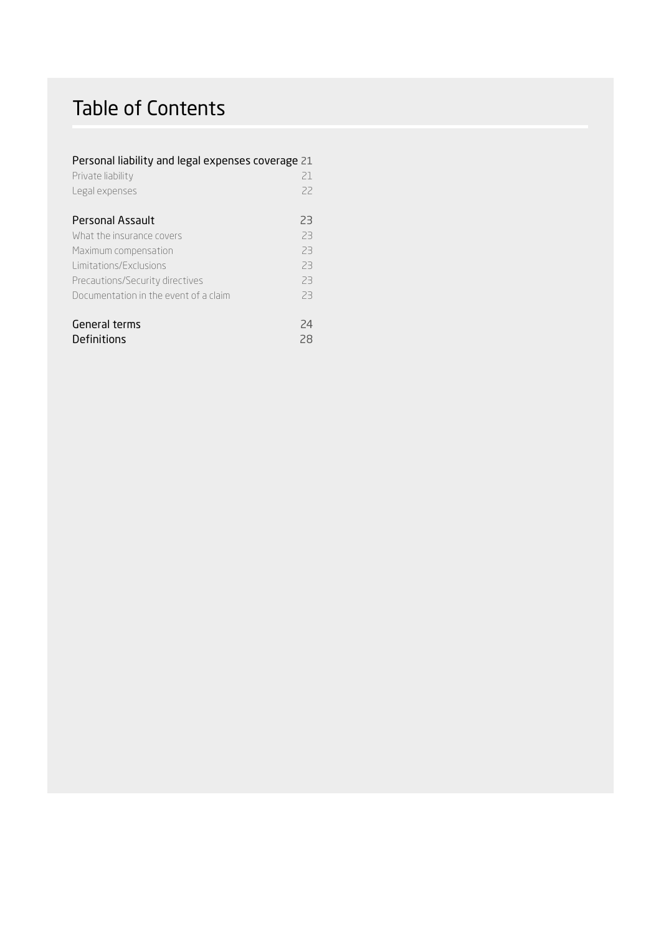## Table of Contents

## Personal liability and legal expenses coverage 21

| Private liability                     | 21 |
|---------------------------------------|----|
| Legal expenses                        | 22 |
|                                       |    |
| Personal Assault                      | 23 |
| What the insurance covers             | 23 |
| Maximum compensation                  | 23 |
| Limitations/Exclusions                | 23 |
| Precautions/Security directives       | 23 |
| Documentation in the event of a claim | 23 |
|                                       |    |
| General terms                         | 74 |
| Definitions                           | 28 |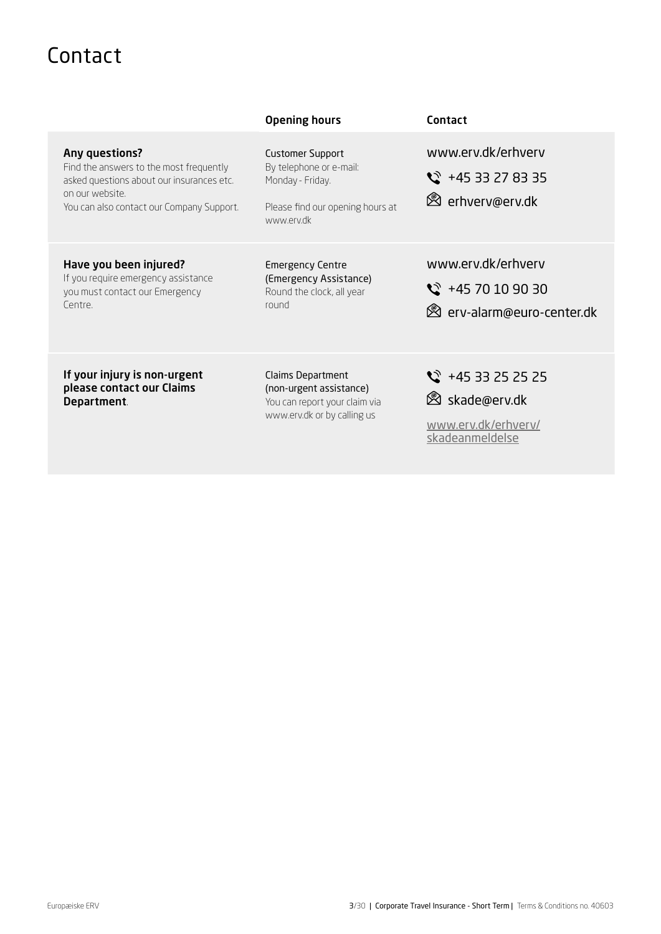## <span id="page-2-0"></span>Contact

|                                                                                                                                                                        | <b>Opening hours</b>                                                                                                     | Contact                                                                                      |
|------------------------------------------------------------------------------------------------------------------------------------------------------------------------|--------------------------------------------------------------------------------------------------------------------------|----------------------------------------------------------------------------------------------|
| Any questions?<br>Find the answers to the most frequently<br>asked questions about our insurances etc.<br>on our website.<br>You can also contact our Company Support. | <b>Customer Support</b><br>By telephone or e-mail:<br>Monday - Friday.<br>Please find our opening hours at<br>www.erv.dk | www.erv.dk/erhverv<br>$\frac{1}{2}$ +45 33 27 83 35<br><b><sup>⊗</sup></b> erhverv@erv.dk    |
| Have you been injured?<br>If you require emergency assistance<br>you must contact our Emergency<br>Centre.                                                             | <b>Emergency Centre</b><br>(Emergency Assistance)<br>Round the clock, all year<br>round                                  | www.erv.dk/erhverv<br>$\frac{1}{2}$ +45 70 10 90 30<br><b>&amp;</b> erv-alarm@euro-center.dk |
| If your injury is non-urgent<br>please contact our Claims<br>Department.                                                                                               | Claims Department<br>(non-urgent assistance)<br>You can report your claim via<br>www.erv.dk or by calling us             | $\heartsuit$ +45 33 25 25 25<br>⊠ skade@erv.dk<br>www.erv.dk/erhverv/                        |

[skadeanmeldelse](http://www.erv.dk/erhverv/skadeanmeldelse)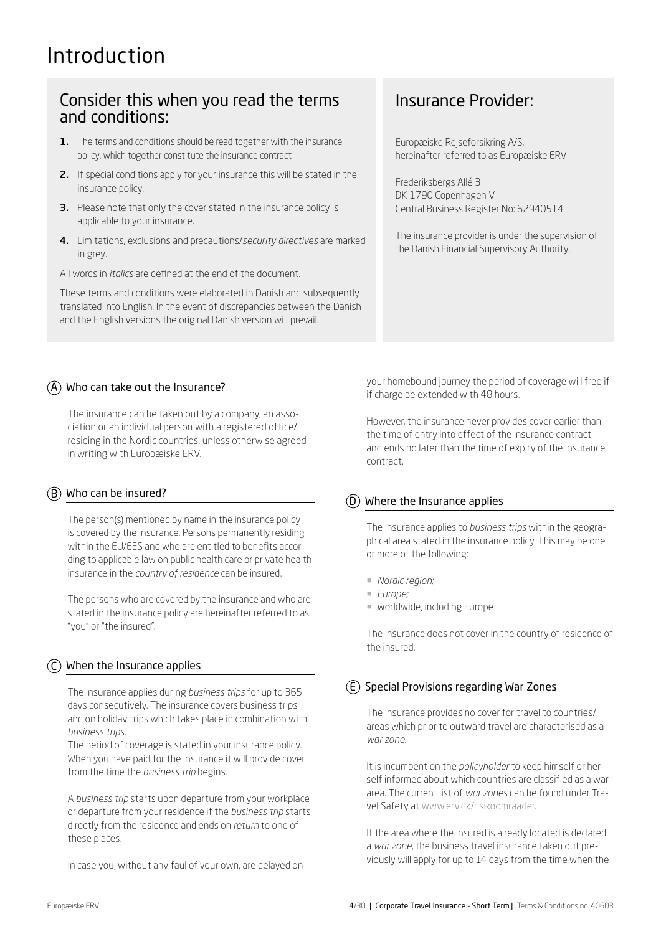## <span id="page-3-0"></span>Introduction

## Consider this when you read the terms and conditions:

- 1. The terms and conditions should be read together with the insurance policy, which together constitute the insurance contract
- 2. If special conditions apply for your insurance this will be stated in the insurance policy.
- **3.** Please note that only the cover stated in the insurance policy is applicable to your insurance.
- 4. Limitations, exclusions and precautions/*security directives* are marked in grey.

All words in *italics* are defined at the end of the document.

These terms and conditions were elaborated in Danish and subsequently translated into English. In the event of discrepancies between the Danish and the English versions the original Danish version will prevail.

## Insurance Provider:

Europæiske Rejseforsikring A/S, hereinafter referred to as Europæiske ERV

Frederiksbergs Allé 3 DK-1790 Copenhagen V Central Business Register No: 62940514

The insurance provider is under the supervision of the Danish Financial Supervisory Authority.

## $\overline{A}$  Who can take out the Insurance?

The insurance can be taken out by a company, an association or an individual person with a registered office/ residing in the Nordic countries, unless otherwise agreed in writing with Europæiske ERV.

## $\overline{(B)}$  Who can be insured?

The person(s) mentioned by name in the insurance policy is covered by the insurance. Persons permanently residing within the EU/EES and who are entitled to benefits according to applicable law on public health care or private health insurance in the *country of residence* can be insured.

The persons who are covered by the insurance and who are stated in the insurance policy are hereinafter referred to as "you" or "the insured".

## $\lambda$  When the Insurance applies

The insurance applies during *business trips* for up to 365 days consecutively. The insurance covers business trips and on holiday trips which takes place in combination with *business trips*.

The period of coverage is stated in your insurance policy. When you have paid for the insurance it will provide cover from the time the *business trip* begins.

A *business trip* starts upon departure from your workplace or departure from your residence if the *business trip* starts directly from the residence and ends on *return* to one of these places.

In case you, without any faul of your own, are delayed on

your homebound journey the period of coverage will free if if charge be extended with 48 hours.

However, the insurance never provides cover earlier than the time of entry into effect of the insurance contract and ends no later than the time of expiry of the insurance contract.

## D Where the Insurance applies

The insurance applies to *business trips* within the geographical area stated in the insurance policy. This may be one or more of the following:

- ¡ *Nordic region;*
- ¡ *Europe;*
- ¡ Worldwide, including Europe

The insurance does not cover in the country of residence of the insured.

## $E(E)$  Special Provisions regarding War Zones

The insurance provides no cover for travel to countries/ areas which prior to outward travel are characterised as a *war zone.*

It is incumbent on the *policyholder* to keep himself or herself informed about which countries are classified as a war area. The current list of *war zones* can be found under Travel Safety at [www.erv.dk/risikoomraader.](http://www.erv.dk/risikoomraader. ) 

If the area where the insured is already located is declared a *war zone*, the business travel insurance taken out previously will apply for up to 14 days from the time when the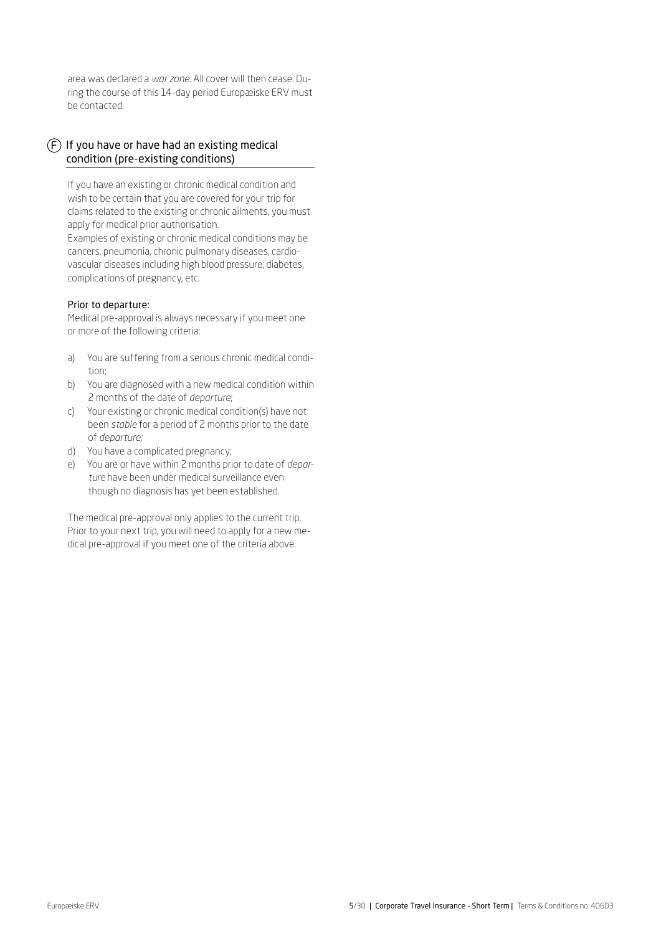<span id="page-4-0"></span>area was declared a *war zone*. All cover will then cease. During the course of this 14-day period Europæiske ERV must be contacted.

## $(F)$  If you have or have had an existing medical condition (pre-existing conditions)

If you have an existing or chronic medical condition and wish to be certain that you are covered for your trip for claims related to the existing or chronic ailments, you must apply for medical prior authorisation.

Examples of existing or chronic medical conditions may be cancers, pneumonia, chronic pulmonary diseases, cardiovascular diseases including high blood pressure, diabetes, complications of pregnancy, etc.

#### Prior to departure:

Medical pre-approval is always necessary if you meet one or more of the following criteria:

- a) You are suffering from a serious chronic medical condition;
- b) You are diagnosed with a new medical condition within 2 months of the date of *departure*;
- c) Your existing or chronic medical condition(s) have not been *stable* for a period of 2 months prior to the date of *departure;*
- d) You have a complicated pregnancy;
- e) You are or have within 2 months prior to date of *departure* have been under medical surveillance even though no diagnosis has yet been established.

The medical pre-approval only applies to the current trip. Prior to your next trip, you will need to apply for a new medical pre-approval if you meet one of the criteria above.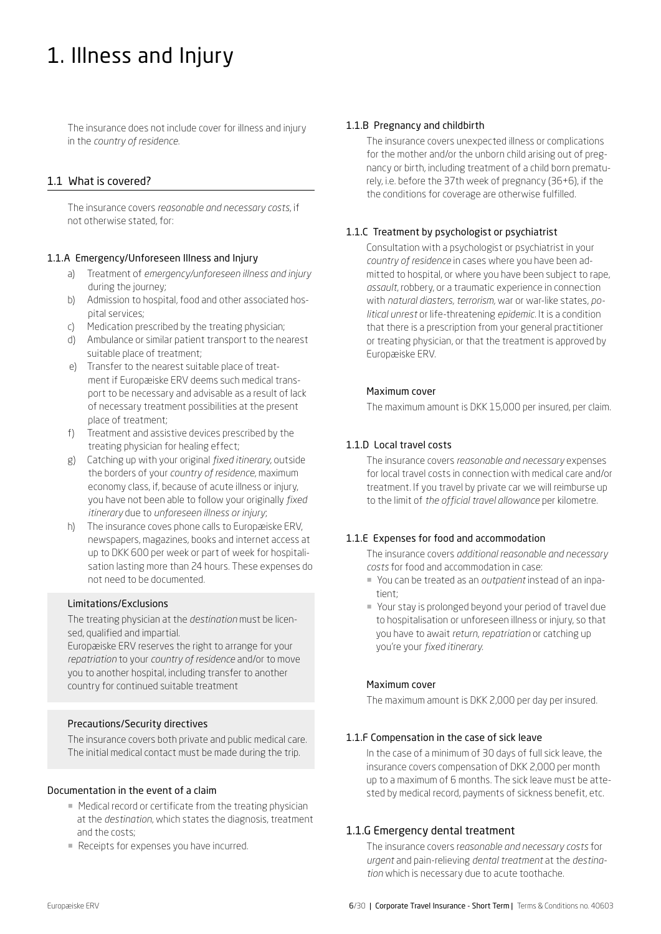## <span id="page-5-0"></span>1. Illness and Injury

The insurance does not include cover for illness and injury in the *country of residence*.

## 1.1 What is covered?

The insurance covers *reasonable and necessary costs*, if not otherwise stated, for:

## 1.1.A Emergency/Unforeseen Illness and Injury

- a) Treatment of *emergency/unforeseen illness and injury* during the journey;
- b) Admission to hospital, food and other associated hospital services;
- c) Medication prescribed by the treating physician;
- d) Ambulance or similar patient transport to the nearest suitable place of treatment;
- e) Transfer to the nearest suitable place of treatment if Europæiske ERV deems such medical transport to be necessary and advisable as a result of lack of necessary treatment possibilities at the present place of treatment;
- f) Treatment and assistive devices prescribed by the treating physician for healing effect;
- g) Catching up with your original *fixed itinerary*, outside the borders of your *country of residence*, maximum economy class, if, because of acute illness or injury, you have not been able to follow your originally *fixed itinerary* due to *unforeseen illness or injury*;
- h) The insurance coves phone calls to Europæiske ERV, newspapers, magazines, books and internet access at up to DKK 600 per week or part of week for hospitalisation lasting more than 24 hours. These expenses do not need to be documented.

#### Limitations/Exclusions

The treating physician at the *destination* must be licensed, qualified and impartial.

Europæiske ERV reserves the right to arrange for your *repatriation* to your *country of residence* and/or to move you to another hospital, including transfer to another country for continued suitable treatment

## Precautions/Security directives

The insurance covers both private and public medical care. The initial medical contact must be made during the trip.

#### Documentation in the event of a claim

- Medical record or certificate from the treating physician at the *destination*, which states the diagnosis, treatment and the costs;
- Receipts for expenses you have incurred.

#### 1.1.B Pregnancy and childbirth

The insurance covers unexpected illness or complications for the mother and/or the unborn child arising out of pregnancy or birth, including treatment of a child born prematurely, i.e. before the 37th week of pregnancy (36+6), if the the conditions for coverage are otherwise fulfilled.

## 1.1.C Treatment by psychologist or psychiatrist

Consultation with a psychologist or psychiatrist in your *country of residence* in cases where you have been admitted to hospital, or where you have been subject to rape, *assault*, robbery, or a traumatic experience in connection with *natural diasters, terrorism,* war or war-like states, *political unrest* or life-threatening *epidemic*. It is a condition that there is a prescription from your general practitioner or treating physician, or that the treatment is approved by Europæiske ERV.

#### Maximum cover

The maximum amount is DKK 15,000 per insured, per claim.

## 1.1.D Local travel costs

The insurance covers *reasonable and necessary* expenses for local travel costs in connection with medical care and/or treatment. If you travel by private car we will reimburse up to the limit of *the official travel allowance* per kilometre.

## 1.1.E Expenses for food and accommodation

The insurance covers *additional reasonable and necessary costs* for food and accommodation in case:

- ¡ You can be treated as an *outpatient* instead of an inpatient;
- ¡ Your stay is prolonged beyond your period of travel due to hospitalisation or unforeseen illness or injury, so that you have to await *return*, *repatriation* or catching up you're your *fixed itinerary.*

#### Maximum cover

The maximum amount is DKK 2,000 per day per insured.

#### 1.1.F Compensation in the case of sick leave

In the case of a minimum of 30 days of full sick leave, the insurance covers compensation of DKK 2,000 per month up to a maximum of 6 months. The sick leave must be attested by medical record, payments of sickness benefit, etc.

## 1.1.G Emergency dental treatment

The insurance covers r*easonable and necessary costs* for *urgent* and pain-relieving *dental treatment* at the *destination* which is necessary due to acute toothache.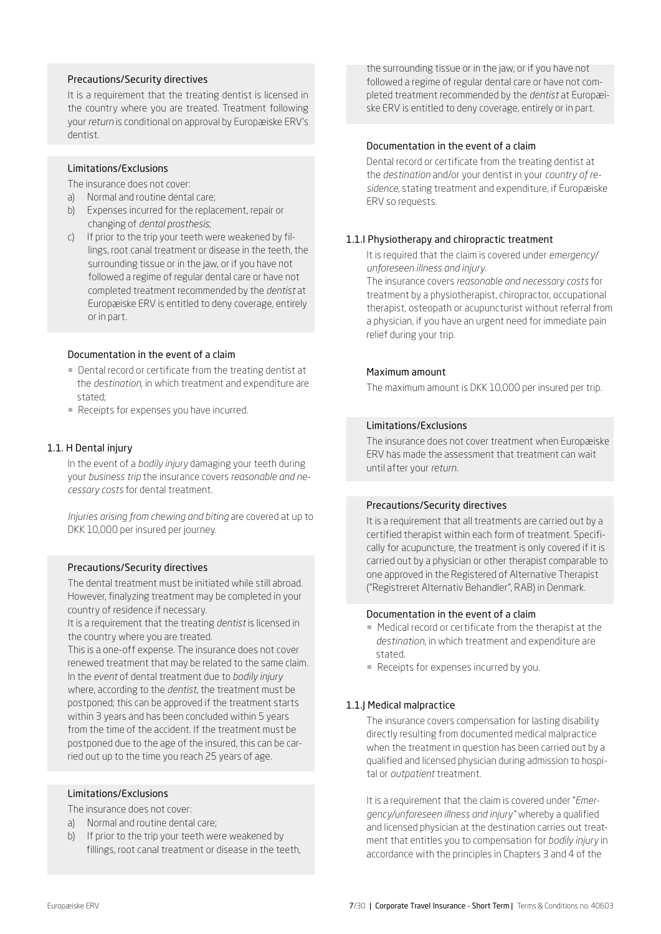#### Precautions/Security directives

It is a requirement that the treating dentist is licensed in the country where you are treated. Treatment following your *return* is conditional on approval by Europæiske ERV's dentist.

#### Limitations/Exclusions

The insurance does not cover:

- a) Normal and routine dental care;
- b) Expenses incurred for the replacement, repair or changing of *dental prosthesis*;
- c) If prior to the trip your teeth were weakened by fillings, root canal treatment or disease in the teeth, the surrounding tissue or in the jaw, or if you have not followed a regime of regular dental care or have not completed treatment recommended by the *dentist* at Europæiske ERV is entitled to deny coverage, entirely or in part.

#### Documentation in the event of a claim

- Dental record or certificate from the treating dentist at the *destination*, in which treatment and expenditure are stated;
- Receipts for expenses you have incurred.

#### 1.1. H Dental injury

In the event of a *bodily injury* damaging your teeth during your *business trip* the insurance covers *reasonable and necessary costs* for dental treatment.

*Injuries arising from chewing and biting* are covered at up to DKK 10,000 per insured per journey.

#### Precautions/Security directives

The dental treatment must be initiated while still abroad. However, finalyzing treatment may be completed in your country of residence if necessary.

It is a requirement that the treating *dentist* is licensed in the country where you are treated.

This is a one-off expense. The insurance does not cover renewed treatment that may be related to the same claim. In the *event* of dental treatment due to *bodily injury* where, according to the *dentist*, the treatment must be postponed; this can be approved if the treatment starts within 3 years and has been concluded within 5 years from the time of the accident. If the treatment must be postponed due to the age of the insured, this can be carried out up to the time you reach 25 years of age.

#### Limitations/Exclusions

The insurance does not cover:

- a) Normal and routine dental care;
- b) If prior to the trip your teeth were weakened by fillings, root canal treatment or disease in the teeth,

the surrounding tissue or in the jaw, or if you have not followed a regime of regular dental care or have not completed treatment recommended by the *dentist* at Europæiske ERV is entitled to deny coverage, entirely or in part.

#### Documentation in the event of a claim

Dental record or certificate from the treating dentist at the *destination* and/or your dentist in your *country of residence*, stating treatment and expenditure, if Europæiske ERV so requests.

#### 1.1.I Physiotherapy and chiropractic treatment

It is required that the claim is covered under *emergency/ unforeseen illness and injury.*

The insurance covers *reasonable and necessary costs* for treatment by a physiotherapist, chiropractor, occupational therapist, osteopath or acupuncturist without referral from a physician, if you have an urgent need for immediate pain relief during your trip.

#### Maximum amount

The maximum amount is DKK 10,000 per insured per trip.

#### Limitations/Exclusions

The insurance does not cover treatment when Europæiske ERV has made the assessment that treatment can wait until after your *return*.

#### Precautions/Security directives

It is a requirement that all treatments are carried out by a certified therapist within each form of treatment. Specifically for acupuncture, the treatment is only covered if it is carried out by a physician or other therapist comparable to one approved in the Registered of Alternative Therapist ("Registreret Alternativ Behandler", RAB) in Denmark.

## Documentation in the event of a claim

- Medical record or certificate from the therapist at the *destination*, in which treatment and expenditure are stated.
- ¡ Receipts for expenses incurred by you.

#### 1.1.J Medical malpractice

The insurance covers compensation for lasting disability directly resulting from documented medical malpractice when the treatment in question has been carried out by a qualified and licensed physician during admission to hospital or *outpatient* treatment.

It is a requirement that the claim is covered under "*Emergency/unforeseen illness and injury"* whereby a qualified and licensed physician at the destination carries out treatment that entitles you to compensation for *bodily injury* in accordance with the principles in Chapters 3 and 4 of the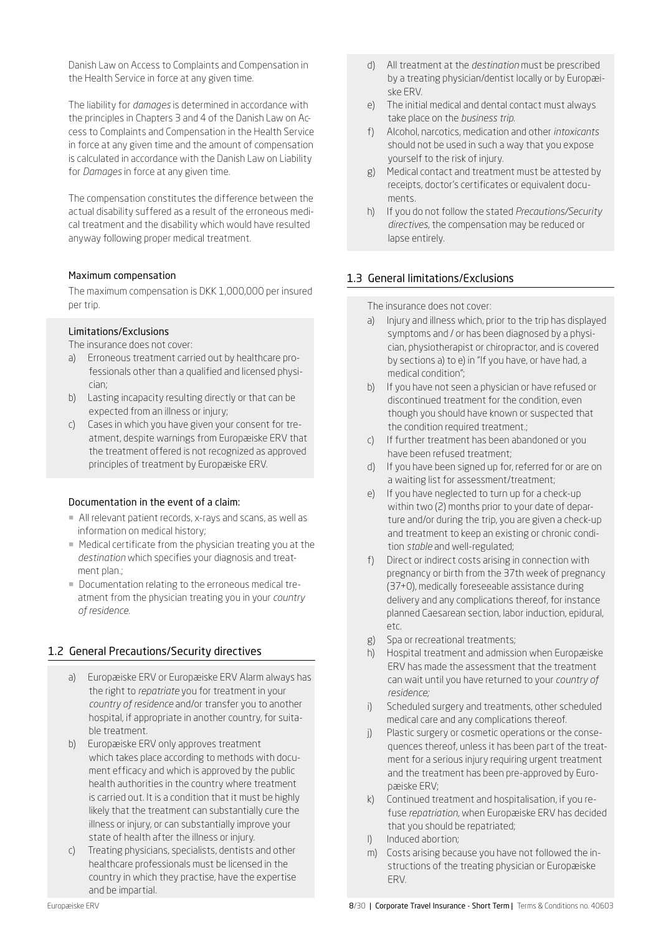<span id="page-7-0"></span>Danish Law on Access to Complaints and Compensation in the Health Service in force at any given time.

The liability for *damages* is determined in accordance with the principles in Chapters 3 and 4 of the Danish Law on Access to Complaints and Compensation in the Health Service in force at any given time and the amount of compensation is calculated in accordance with the Danish Law on Liability for *Damages* in force at any given time.

The compensation constitutes the difference between the actual disability suffered as a result of the erroneous medical treatment and the disability which would have resulted anyway following proper medical treatment.

#### Maximum compensation

The maximum compensation is DKK 1,000,000 per insured per trip.

#### Limitations/Exclusions

The insurance does not cover:

- a) Erroneous treatment carried out by healthcare professionals other than a qualified and licensed physician;
- b) Lasting incapacity resulting directly or that can be expected from an illness or injury;
- c) Cases in which you have given your consent for treatment, despite warnings from Europæiske ERV that the treatment offered is not recognized as approved principles of treatment by Europæiske ERV.

#### Documentation in the event of a claim:

- ¡ All relevant patient records, x-rays and scans, as well as information on medical history;
- Medical certificate from the physician treating you at the *destination* which specifies your diagnosis and treatment plan.;
- ¡ Documentation relating to the erroneous medical treatment from the physician treating you in your *country of residence*.

## 1.2 General Precautions/Security directives

- a) Europæiske ERV or Europæiske ERV Alarm always has the right to *repatriate* you for treatment in your *country of residence* and/or transfer you to another hospital, if appropriate in another country, for suitable treatment.
- b) Europæiske ERV only approves treatment which takes place according to methods with document efficacy and which is approved by the public health authorities in the country where treatment is carried out. It is a condition that it must be highly likely that the treatment can substantially cure the illness or injury, or can substantially improve your state of health after the illness or injury.
- c) Treating physicians, specialists, dentists and other healthcare professionals must be licensed in the country in which they practise, have the expertise and be impartial.
- d) All treatment at the *destination* must be prescribed by a treating physician/dentist locally or by Europæiske ERV.
- e) The initial medical and dental contact must always take place on the *business trip*.
- f) Alcohol, narcotics, medication and other *intoxicants* should not be used in such a way that you expose yourself to the risk of injury.
- g) Medical contact and treatment must be attested by receipts, doctor's certificates or equivalent documents.
- h) If you do not follow the stated *Precautions/Security directives*, the compensation may be reduced or lapse entirely.

## 1.3 General limitations/Exclusions

The insurance does not cover:

- a) Injury and illness which, prior to the trip has displayed symptoms and / or has been diagnosed by a physician, physiotherapist or chiropractor, and is covered by sections a) to e) in "If you have, or have had, a medical condition";
- b) If you have not seen a physician or have refused or discontinued treatment for the condition, even though you should have known or suspected that the condition required treatment.;
- c) If further treatment has been abandoned or you have been refused treatment;
- d) If you have been signed up for, referred for or are on a waiting list for assessment/treatment;
- e) If you have neglected to turn up for a check-up within two (2) months prior to your date of departure and/or during the trip, you are given a check-up and treatment to keep an existing or chronic condition *stable* and well-regulated;
- f) Direct or indirect costs arising in connection with pregnancy or birth from the 37th week of pregnancy (37+0), medically foreseeable assistance during delivery and any complications thereof, for instance planned Caesarean section, labor induction, epidural, etc.
- g) Spa or recreational treatments;
- h) Hospital treatment and admission when Europæiske ERV has made the assessment that the treatment can wait until you have returned to your *country of residence;*
- i) Scheduled surgery and treatments, other scheduled medical care and any complications thereof.
- j) Plastic surgery or cosmetic operations or the consequences thereof, unless it has been part of the treatment for a serious injury requiring urgent treatment and the treatment has been pre-approved by Europæiske ERV;
- k) Continued treatment and hospitalisation, if you refuse *repatriation*, when Europæiske ERV has decided that you should be repatriated;
- l) Induced abortion;
- m) Costs arising because you have not followed the instructions of the treating physician or Europæiske ERV.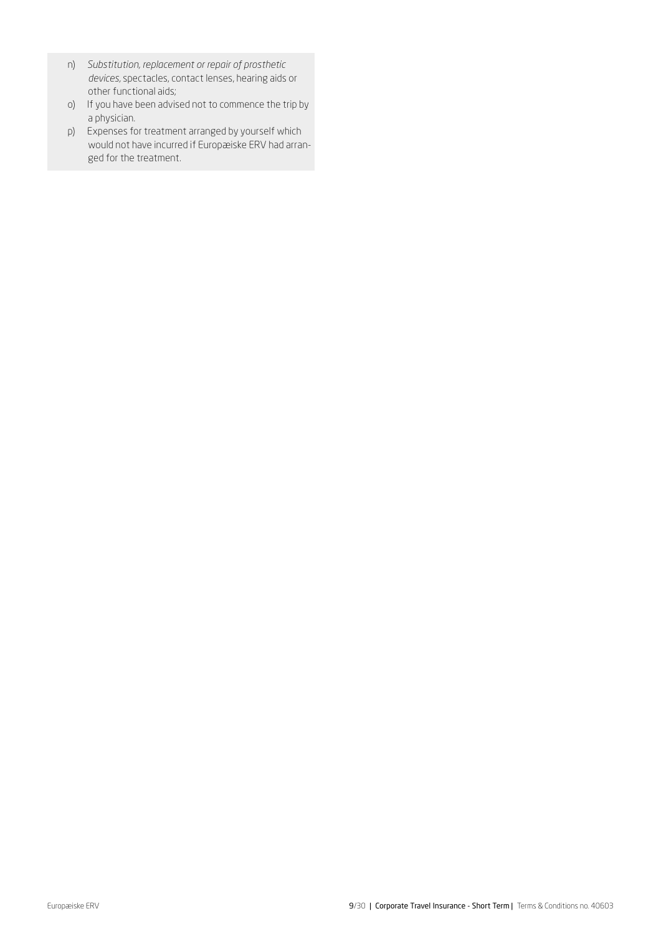- n) *Substitution, replacement or repair of prosthetic devices,* spectacles, contact lenses, hearing aids or other functional aids;
- o) If you have been advised not to commence the trip by a physician.
- p) Expenses for treatment arranged by yourself which would not have incurred if Europæiske ERV had arranged for the treatment.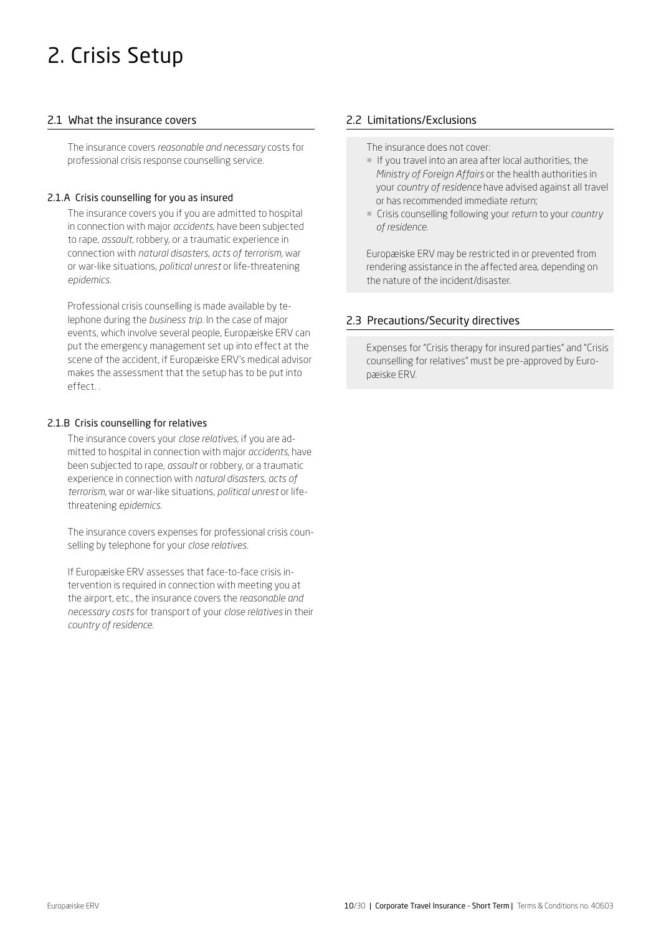## <span id="page-9-0"></span>2. Crisis Setup

## 2.1 What the insurance covers

The insurance covers *reasonable and necessary* costs for professional crisis response counselling service.

## 2.1.A Crisis counselling for you as insured

The insurance covers you if you are admitted to hospital in connection with major *accidents*, have been subjected to rape, *assault*, robbery, or a traumatic experience in connection with *natural disasters*, *acts of terrorism,* war or war-like situations, *political unrest* or life-threatening *epidemics*.

Professional crisis counselling is made available by telephone during the *business trip*. In the case of major events, which involve several people, Europæiske ERV can put the emergency management set up into effect at the scene of the accident, if Europæiske ERV's medical advisor makes the assessment that the setup has to be put into effect. .

## 2.1.B Crisis counselling for relatives

The insurance covers your *close relatives,* if you are admitted to hospital in connection with major *accidents*, have been subjected to rape, *assault* or robbery, or a traumatic experience in connection with *natural disasters, acts of terrorism*, war or war-like situations, *political unrest* or lifethreatening *epidemics*.

The insurance covers expenses for professional crisis counselling by telephone for your *close relatives.*

If Europæiske ERV assesses that face-to-face crisis intervention is required in connection with meeting you at the airport, etc., the insurance covers the *reasonable and necessary costs* for transport of your *close relatives* in their *country of residence.* 

## 2.2 Limitations/Exclusions

The insurance does not cover:

- ¡ If you travel into an area after local authorities, the *Ministry of Foreign Affairs* or the health authorities in your *country of residence* have advised against all travel or has recommended immediate *return*;
- ¡ Crisis counselling following your *return* to your *country of residence.*

Europæiske ERV may be restricted in or prevented from rendering assistance in the affected area, depending on the nature of the incident/disaster.

## 2.3 Precautions/Security directives

Expenses for "Crisis therapy for insured parties" and "Crisis counselling for relatives" must be pre-approved by Europæiske ERV.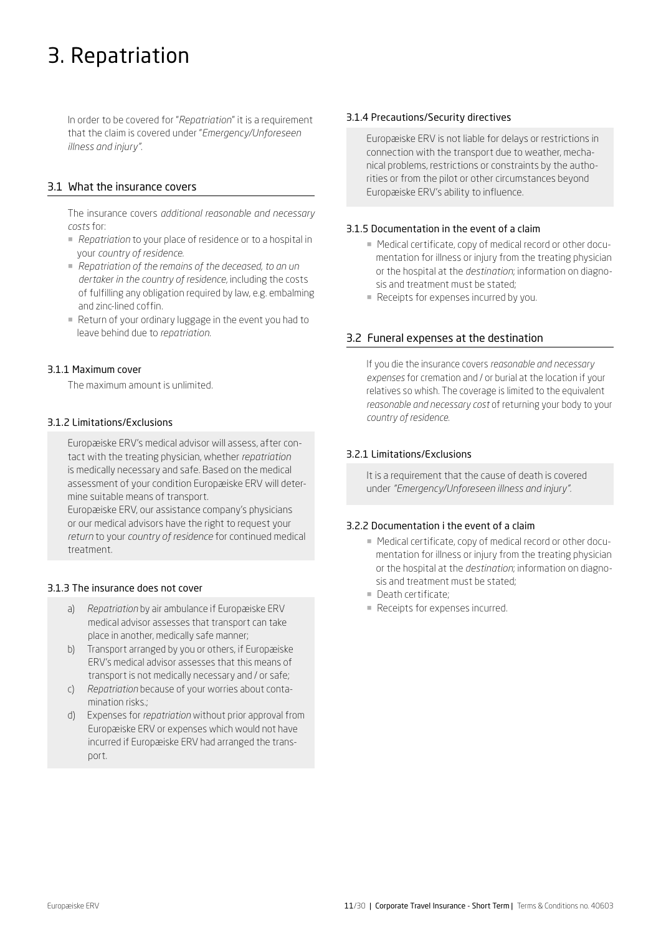## <span id="page-10-0"></span>3. Repatriation

In order to be covered for "*Repatriation*" it is a requirement that the claim is covered under "*Emergency/Unforeseen illness and injury".* 

## 3.1 What the insurance covers

The insurance covers *additional reasonable and necessary costs* for:

- *Repatriation* to your place of residence or to a hospital in your *country of residence.*
- ¡ *Repatriation of the remains of the deceased, to an un dertaker in the country of residence*, including the costs of fulfilling any obligation required by law, e.g. embalming and zinc-lined coffin.
- ¡ Return of your ordinary luggage in the event you had to leave behind due to *repatriation*.

## 3.1.1 Maximum cover

The maximum amount is unlimited.

#### 3.1.2 Limitations/Exclusions

Europæiske ERV's medical advisor will assess, after contact with the treating physician, whether *repatriation* is medically necessary and safe. Based on the medical assessment of your condition Europæiske ERV will determine suitable means of transport.

Europæiske ERV, our assistance company's physicians or our medical advisors have the right to request your *return* to your *country of residence* for continued medical treatment.

## 3.1.3 The insurance does not cover

- a) *Repatriation* by air ambulance if Europæiske ERV medical advisor assesses that transport can take place in another, medically safe manner;
- b) Transport arranged by you or others, if Europæiske ERV's medical advisor assesses that this means of transport is not medically necessary and / or safe;
- c) *Repatriation* because of your worries about contamination risks.;
- d) Expenses for *repatriation* without prior approval from Europæiske ERV or expenses which would not have incurred if Europæiske ERV had arranged the transport.

#### 3.1.4 Precautions/Security directives

Europæiske ERV is not liable for delays or restrictions in connection with the transport due to weather, mechanical problems, restrictions or constraints by the authorities or from the pilot or other circumstances beyond Europæiske ERV's ability to influence.

#### 3.1.5 Documentation in the event of a claim

- Medical certificate, copy of medical record or other documentation for illness or injury from the treating physician or the hospital at the *destination*; information on diagnosis and treatment must be stated;
- Receipts for expenses incurred by you.

## 3.2 Funeral expenses at the destination

If you die the insurance covers *reasonable and necessary expenses* for cremation and / or burial at the location if your relatives so whish. The coverage is limited to the equivalent *reasonable and necessary cost* of returning your body to your *country of residence.*

## 3.2.1 Limitations/Exclusions

It is a requirement that the cause of death is covered under *"Emergency/Unforeseen illness and injury".* 

#### 3.2.2 Documentation i the event of a claim

- Medical certificate, copy of medical record or other documentation for illness or injury from the treating physician or the hospital at the *destination*; information on diagnosis and treatment must be stated;
- **Death certificate:**
- Receipts for expenses incurred.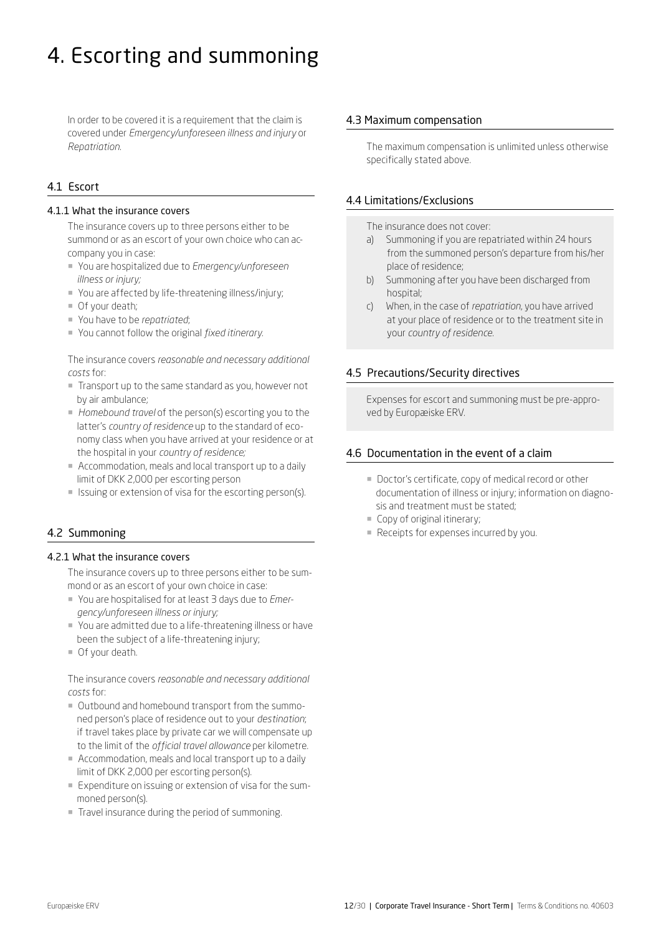## <span id="page-11-0"></span>4. Escorting and summoning

In order to be covered it is a requirement that the claim is covered under *Emergency/unforeseen illness and injury* or *Repatriation*.

## 4.1 Escort

#### 4.1.1 What the insurance covers

The insurance covers up to three persons either to be summond or as an escort of your own choice who can accompany you in case:

- ¡ You are hospitalized due to *Emergency/unforeseen illness or injury;*
- ¡ You are affected by life-threatening illness/injury;
- $\blacksquare$  Of your death;
- ¡ You have to be *repatriated*;
- ¡ You cannot follow the original *fixed itinerary.*

The insurance covers *reasonable and necessary additional costs* for:

- ¡ Transport up to the same standard as you, however not by air ambulance;
- ¡ *Homebound travel* of the person(s) escorting you to the latter's *country of residence* up to the standard of economy class when you have arrived at your residence or at the hospital in your *country of residence;*
- ¡ Accommodation, meals and local transport up to a daily limit of DKK 2,000 per escorting person
- Issuing or extension of visa for the escorting person(s).

## 4.2 Summoning

#### 4.2.1 What the insurance covers

The insurance covers up to three persons either to be summond or as an escort of your own choice in case:

- ¡ You are hospitalised for at least 3 days due to *Emergency/unforeseen illness or injury;*
- ¡ You are admitted due to a life-threatening illness or have been the subject of a life-threatening injury;
- ¡ Of your death.

The insurance covers *reasonable and necessary additional costs* for:

- ¡ Outbound and homebound transport from the summoned person's place of residence out to your *destination*; if travel takes place by private car we will compensate up to the limit of the *official travel allowance* per kilometre.
- Accommodation, meals and local transport up to a daily limit of DKK 2,000 per escorting person(s).
- ¡ Expenditure on issuing or extension of visa for the summoned person(s).
- Travel insurance during the period of summoning.

#### 4.3 Maximum compensation

The maximum compensation is unlimited unless otherwise specifically stated above.

#### 4.4 Limitations/Exclusions

The insurance does not cover:

- a) Summoning if you are repatriated within 24 hours from the summoned person's departure from his/her place of residence;
- b) Summoning after you have been discharged from hospital;
- c) When, in the case of *repatriation*, you have arrived at your place of residence or to the treatment site in your *country of residence*.

## 4.5 Precautions/Security directives

Expenses for escort and summoning must be pre-approved by Europæiske ERV.

#### 4.6 Documentation in the event of a claim

- Doctor's certificate, copy of medical record or other documentation of illness or injury; information on diagnosis and treatment must be stated;
- Copy of original itinerary;
- Receipts for expenses incurred by you.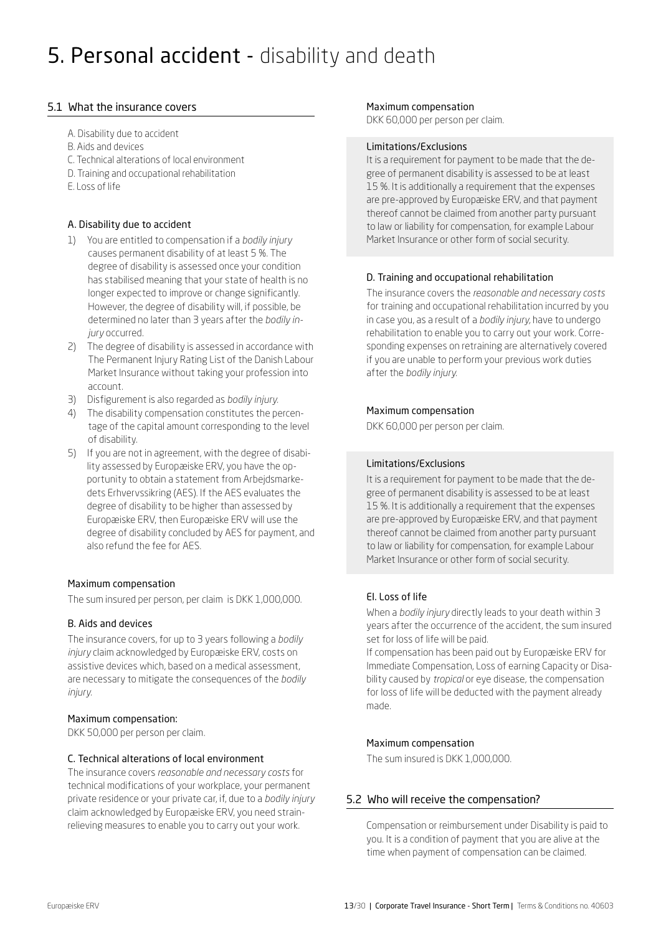## <span id="page-12-0"></span>5. Personal accident - disability and death

## 5.1 What the insurance covers

- A. Disability due to accident
- B. Aids and devices
- C. Technical alterations of local environment
- D. Training and occupational rehabilitation
- E. Loss of life

## A. Disability due to accident

- 1) You are entitled to compensation if a *bodily injury*  causes permanent disability of at least 5 %. The degree of disability is assessed once your condition has stabilised meaning that your state of health is no longer expected to improve or change significantly. However, the degree of disability will, if possible, be determined no later than 3 years after the *bodily injury* occurred.
- 2) The degree of disability is assessed in accordance with The Permanent Injury Rating List of the Danish Labour Market Insurance without taking your profession into account.
- 3) Disfigurement is also regarded as *bodily injury.*
- 4) The disability compensation constitutes the percentage of the capital amount corresponding to the level of disability.
- 5) If you are not in agreement, with the degree of disabi lity assessed by Europæiske ERV, you have the op portunity to obtain a statement from Arbejdsmarke dets Erhvervssikring (AES). If the AES evaluates the degree of disability to be higher than assessed by Europæiske ERV, then Europæiske ERV will use the degree of disability concluded by AES for payment, and also refund the fee for AES.

## Maximum compensation

The sum insured per person, per claim is DKK 1,000,000.

## B. Aids and devices

The insurance covers, for up to 3 years following a *bodily injury* claim acknowledged by Europæiske ERV, costs on assistive devices which, based on a medical assessment, are necessary to mitigate the consequences of the *bodily injury.*

## Maximum compensation:

DKK 50,000 per person per claim.

## C. Technical alterations of local environment

The insurance covers *reasonable and necessary costs* for technical modifications of your workplace, your permanent private residence or your private car, if, due to a *bodily injury* claim acknowledged by Europæiske ERV, you need strainrelieving measures to enable you to carry out your work.

#### Maximum compensation

DKK 60,000 per person per claim.

## Limitations/Exclusions

It is a requirement for payment to be made that the degree of permanent disability is assessed to be at least 15 %. It is additionally a requirement that the expenses are pre-approved by Europæiske ERV, and that payment thereof cannot be claimed from another party pursuant to law or liability for compensation, for example Labour Market Insurance or other form of social security.

## D. Training and occupational rehabilitation

The insurance covers the *reasonable and necessary costs* for training and occupational rehabilitation incurred by you in case you, as a result of a *bodily injury,* have to undergo rehabilitation to enable you to carry out your work. Corresponding expenses on retraining are alternatively covered if you are unable to perform your previous work duties after the *bodily injury.* 

## Maximum compensation

DKK 60,000 per person per claim.

## Limitations/Exclusions

It is a requirement for payment to be made that the degree of permanent disability is assessed to be at least 15 %. It is additionally a requirement that the expenses are pre-approved by Europæiske ERV, and that payment thereof cannot be claimed from another party pursuant to law or liability for compensation, for example Labour Market Insurance or other form of social security.

## EI. Loss of life

When a *bodily injury* directly leads to your death within 3 years after the occurrence of the accident, the sum insured set for loss of life will be paid.

If compensation has been paid out by Europæiske ERV for Immediate Compensation, Loss of earning Capacity or Disability caused by *tropical* or eye disease, the compensation for loss of life will be deducted with the payment already made.

## Maximum compensation

The sum insured is DKK 1,000,000.

## 5.2 Who will receive the compensation?

Compensation or reimbursement under Disability is paid to you. It is a condition of payment that you are alive at the time when payment of compensation can be claimed.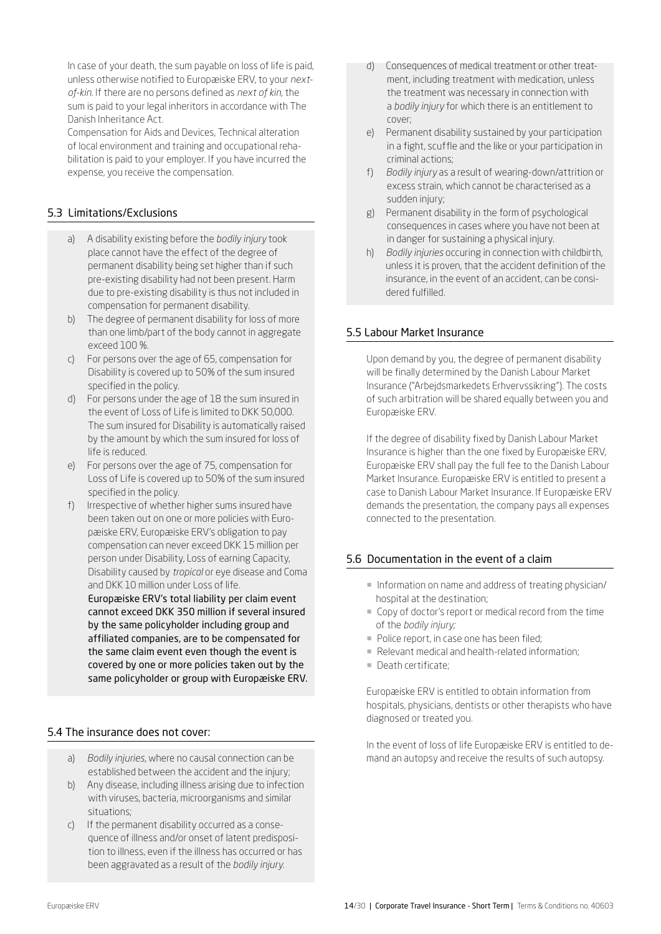In case of your death, the sum payable on loss of life is paid, unless otherwise notified to Europæiske ERV, to your *nextof-kin.* If there are no persons defined as *next of kin,* the sum is paid to your legal inheritors in accordance with The Danish Inheritance Act.

Compensation for Aids and Devices, Technical alteration of local environment and training and occupational rehabilitation is paid to your employer. If you have incurred the expense, you receive the compensation.

## 5.3 Limitations/Exclusions

- a) A disability existing before the *bodily injury* took place cannot have the effect of the degree of permanent disability being set higher than if such pre-existing disability had not been present. Harm due to pre-existing disability is thus not included in compensation for permanent disability.
- b) The degree of permanent disability for loss of more than one limb/part of the body cannot in aggregate exceed 100 %.
- c) For persons over the age of 65, compensation for Disability is covered up to 50% of the sum insured specified in the policy.
- d) For persons under the age of 18 the sum insured in the event of Loss of Life is limited to DKK 50,000. The sum insured for Disability is automatically raised by the amount by which the sum insured for loss of life is reduced.
- e) For persons over the age of 75, compensation for Loss of Life is covered up to 50% of the sum insured specified in the policy.
- f) Irrespective of whether higher sums insured have been taken out on one or more policies with Europæiske ERV, Europæiske ERV's obligation to pay compensation can never exceed DKK 15 million per person under Disability, Loss of earning Capacity, Disability caused by *tropical* or eye disease and Coma and DKK 10 million under Loss of life.

Europæiske ERV's total liability per claim event cannot exceed DKK 350 million if several insured by the same policyholder including group and affiliated companies, are to be compensated for the same claim event even though the event is covered by one or more policies taken out by the same policyholder or group with Europæiske ERV.

## 5.4 The insurance does not cover:

- a) *Bodily injuries,* where no causal connection can be established between the accident and the injury;
- b) Any disease, including illness arising due to infection with viruses, bacteria, microorganisms and similar situations;
- c) If the permanent disability occurred as a consequence of illness and/or onset of latent predisposition to illness, even if the illness has occurred or has been aggravated as a result of the *bodily injury.*
- d) Consequences of medical treatment or other treatment, including treatment with medication, unless the treatment was necessary in connection with a *bodily injury* for which there is an entitlement to cover;
- e) Permanent disability sustained by your participation in a fight, scuffle and the like or your participation in criminal actions;
- f) *Bodily injury* as a result of wearing-down/attrition or excess strain, which cannot be characterised as a sudden injury;
- g) Permanent disability in the form of psychological consequences in cases where you have not been at in danger for sustaining a physical injury.
- h) *Bodily injuries* occuring in connection with childbirth, unless it is proven, that the accident definition of the insurance, in the event of an accident, can be consi dered fulfilled.

## 5.5 Labour Market Insurance

Upon demand by you, the degree of permanent disability will be finally determined by the Danish Labour Market Insurance ("Arbejdsmarkedets Erhvervssikring"). The costs of such arbitration will be shared equally between you and Europæiske ERV.

If the degree of disability fixed by Danish Labour Market Insurance is higher than the one fixed by Europæiske ERV, Europæiske ERV shall pay the full fee to the Danish Labour Market Insurance. Europæiske ERV is entitled to present a case to Danish Labour Market Insurance. If Europæiske ERV demands the presentation, the company pays all expenses connected to the presentation.

## 5.6 Documentation in the event of a claim

- ¡ Information on name and address of treating physician/ hospital at the destination;
- ¡ Copy of doctor's report or medical record from the time of the *bodily injury;*
- Police report, in case one has been filed;
- ¡ Relevant medical and health-related information;
- ¡ Death certificate;

Europæiske ERV is entitled to obtain information from hospitals, physicians, dentists or other therapists who have diagnosed or treated you.

In the event of loss of life Europæiske ERV is entitled to demand an autopsy and receive the results of such autopsy.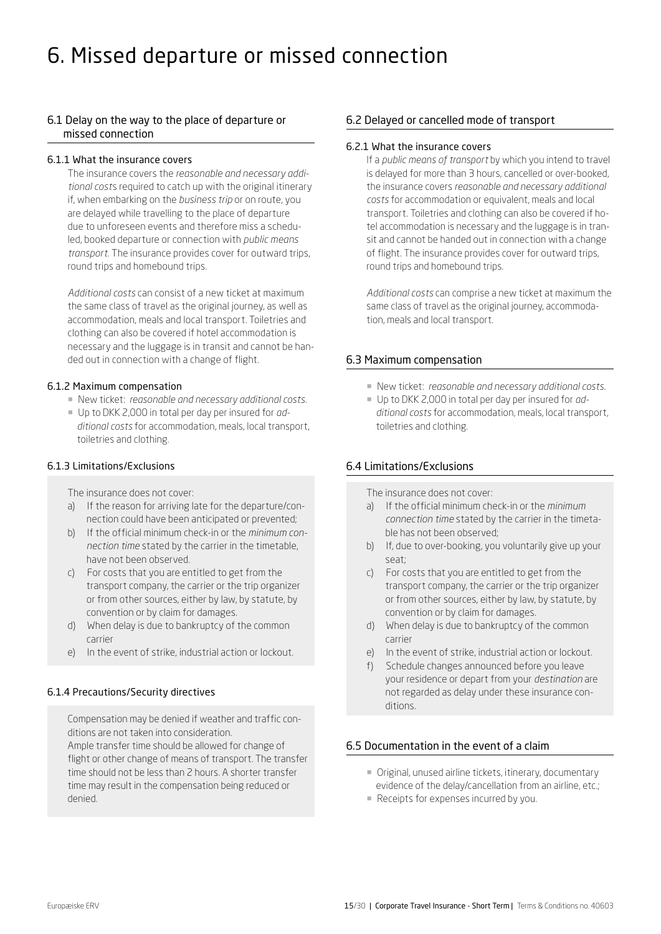## <span id="page-14-0"></span>6. Missed departure or missed connection

## 6.1 Delay on the way to the place of departure or missed connection

#### 6.1.1 What the insurance covers

The insurance covers the *reasonable and necessary additional cost*s required to catch up with the original itinerary if, when embarking on the *business trip* or on route, you are delayed while travelling to the place of departure due to unforeseen events and therefore miss a scheduled, booked departure or connection with *public means transport*. The insurance provides cover for outward trips, round trips and homebound trips.

*Additional costs* can consist of a new ticket at maximum the same class of travel as the original journey, as well as accommodation, meals and local transport. Toiletries and clothing can also be covered if hotel accommodation is necessary and the luggage is in transit and cannot be handed out in connection with a change of flight.

#### 6.1.2 Maximum compensation

- ¡ New ticket: *reasonable and necessary additional costs*.
- ¡ Up to DKK 2,000 in total per day per insured for *additional costs* for accommodation, meals, local transport, toiletries and clothing.

#### 6.1.3 Limitations/Exclusions

The insurance does not cover:

- a) If the reason for arriving late for the departure/connection could have been anticipated or prevented;
- b) If the official minimum check-in or the *minimum connection time* stated by the carrier in the timetable, have not been observed.
- c) For costs that you are entitled to get from the transport company, the carrier or the trip organizer or from other sources, either by law, by statute, by convention or by claim for damages.
- d) When delay is due to bankruptcy of the common carrier
- e) In the event of strike, industrial action or lockout.

## 6.1.4 Precautions/Security directives

Compensation may be denied if weather and traffic conditions are not taken into consideration. Ample transfer time should be allowed for change of flight or other change of means of transport. The transfer time should not be less than 2 hours. A shorter transfer time may result in the compensation being reduced or denied.

## 6.2 Delayed or cancelled mode of transport

#### 6.2.1 What the insurance covers

If a *public means of transport* by which you intend to travel is delayed for more than 3 hours, cancelled or over-booked, the insurance covers *reasonable and necessary additional costs* for accommodation or equivalent, meals and local transport. Toiletries and clothing can also be covered if hotel accommodation is necessary and the luggage is in transit and cannot be handed out in connection with a change of flight. The insurance provides cover for outward trips, round trips and homebound trips.

*Additional costs* can comprise a new ticket at maximum the same class of travel as the original journey, accommodation, meals and local transport.

#### 6.3 Maximum compensation

- ¡ New ticket: *reasonable and necessary additional costs.*
- ¡ Up to DKK 2,000 in total per day per insured for *additional costs* for accommodation, meals, local transport, toiletries and clothing.

## 6.4 Limitations/Exclusions

The insurance does not cover:

- a) If the official minimum check-in or the *minimum connection time* stated by the carrier in the timetable has not been observed;
- b) If, due to over-booking, you voluntarily give up your seat;
- c) For costs that you are entitled to get from the transport company, the carrier or the trip organizer or from other sources, either by law, by statute, by convention or by claim for damages.
- d) When delay is due to bankruptcy of the common carrier
- e) In the event of strike, industrial action or lockout.
- f) Schedule changes announced before you leave your residence or depart from your *destination* are not regarded as delay under these insurance conditions.

## 6.5 Documentation in the event of a claim

- ¡ Original, unused airline tickets, itinerary, documentary evidence of the delay/cancellation from an airline, etc.;
- Receipts for expenses incurred by you.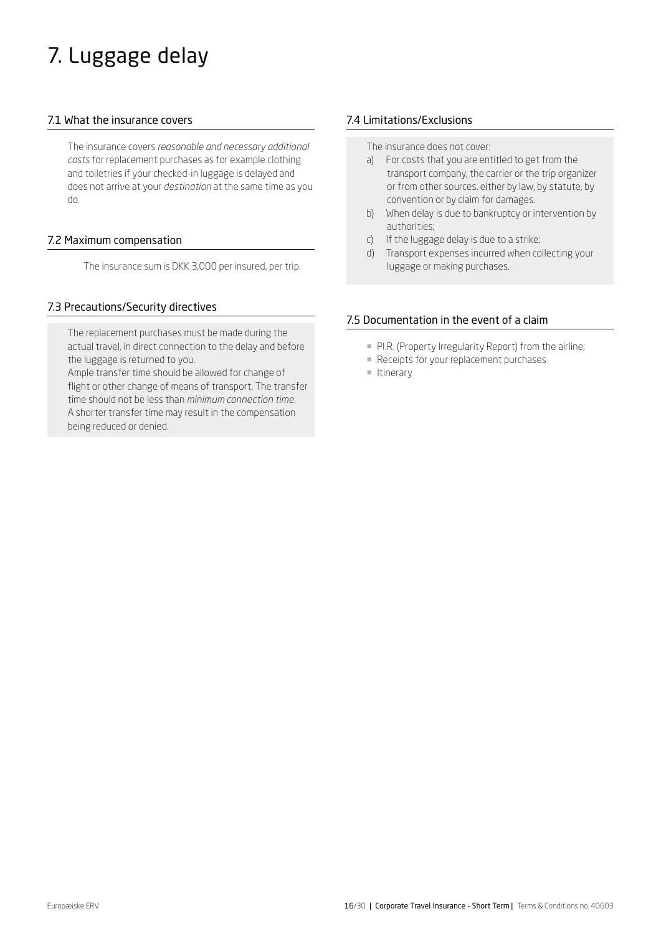# <span id="page-15-0"></span>7. Luggage delay

## 7.1 What the insurance covers

The insurance covers *reasonable and necessary additional costs* for replacement purchases as for example clothing and toiletries if your checked-in luggage is delayed and does not arrive at your *destination* at the same time as you do.

## 7.2 Maximum compensation

The insurance sum is DKK 3,000 per insured, per trip.

## 7.3 Precautions/Security directives

The replacement purchases must be made during the actual travel, in direct connection to the delay and before the luggage is returned to you.

Ample transfer time should be allowed for change of flight or other change of means of transport. The transfer time should not be less than *minimum connection time*. A shorter transfer time may result in the compensation being reduced or denied.

## 7.4 Limitations/Exclusions

The insurance does not cover:

- a) For costs that you are entitled to get from the transport company, the carrier or the trip organizer or from other sources, either by law, by statute, by convention or by claim for damages.
- b) When delay is due to bankruptcy or intervention by authorities;
- c) If the luggage delay is due to a strike;
- d) Transport expenses incurred when collecting your luggage or making purchases.

## 7.5 Documentation in the event of a claim

- **PI.R. (Property Irregularity Report) from the airline;**
- **Receipts for your replacement purchases**
- ¡ Itinerary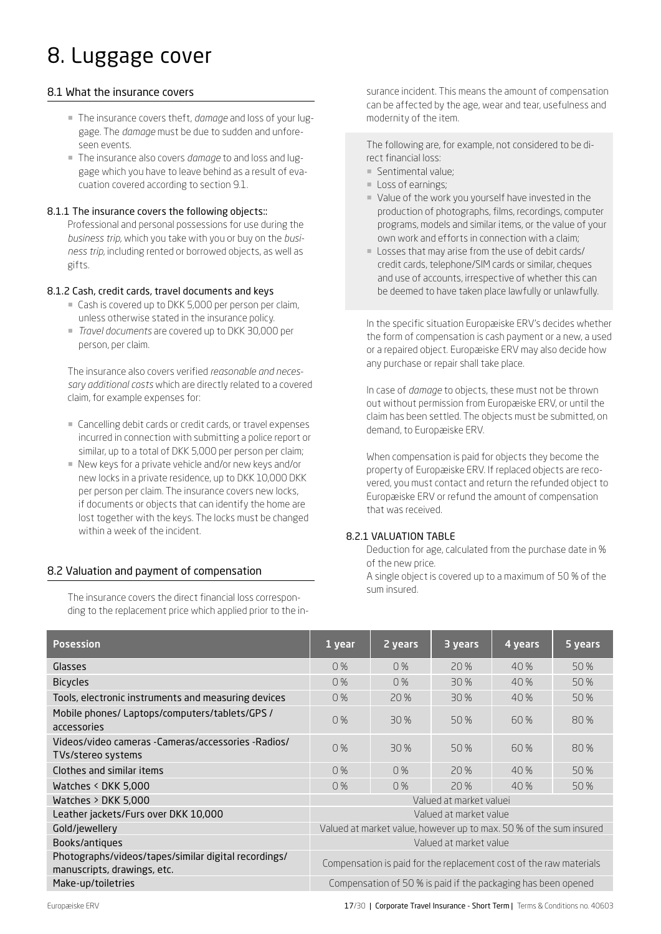## <span id="page-16-0"></span>8. Luggage cover

## 8.1 What the insurance covers

- ¡ The insurance covers theft, *damage* and loss of your luggage. The *damage* must be due to sudden and unforeseen events.
- ¡ The insurance also covers *damage* to and loss and luggage which you have to leave behind as a result of evacuation covered according to section 9.1.

#### 8.1.1 The insurance covers the following objects::

Professional and personal possessions for use during the *business trip*, which you take with you or buy on the *business trip*, including rented or borrowed objects, as well as gifts.

## 8.1.2 Cash, credit cards, travel documents and keys

- Cash is covered up to DKK 5,000 per person per claim, unless otherwise stated in the insurance policy.
- ¡ *Travel documents* are covered up to DKK 30,000 per person, per claim.

The insurance also covers verified *reasonable and necessary additional costs* which are directly related to a covered claim, for example expenses for:

- ¡ Cancelling debit cards or credit cards, or travel expenses incurred in connection with submitting a police report or similar, up to a total of DKK 5,000 per person per claim;
- New keys for a private vehicle and/or new keys and/or new locks in a private residence, up to DKK 10,000 DKK per person per claim. The insurance covers new locks, if documents or objects that can identify the home are lost together with the keys. The locks must be changed within a week of the incident.

## 8.2 Valuation and payment of compensation

The insurance covers the direct financial loss corresponding to the replacement price which applied prior to the insurance incident. This means the amount of compensation can be affected by the age, wear and tear, usefulness and modernity of the item.

The following are, for example, not considered to be direct financial loss:

- ¡ Sentimental value;
- Loss of earnings;
- ¡ Value of the work you yourself have invested in the production of photographs, films, recordings, computer programs, models and similar items, or the value of your own work and efforts in connection with a claim;
- ¡ Losses that may arise from the use of debit cards/ credit cards, telephone/SIM cards or similar, cheques and use of accounts, irrespective of whether this can be deemed to have taken place lawfully or unlawfully.

In the specific situation Europæiske ERV's decides whether the form of compensation is cash payment or a new, a used or a repaired object. Europæiske ERV may also decide how any purchase or repair shall take place.

In case of *damage* to objects, these must not be thrown out without permission from Europæiske ERV, or until the claim has been settled. The objects must be submitted, on demand, to Europæiske ERV.

When compensation is paid for objects they become the property of Europæiske ERV. If replaced objects are recovered, you must contact and return the refunded object to Europæiske ERV or refund the amount of compensation that was received.

## 8.2.1 VALUATION TABLE

Deduction for age, calculated from the purchase date in % of the new price.

A single object is covered up to a maximum of 50 % of the sum insured.

| <b>Posession</b>                                                                    | 1 year                                                             | 2 years | 3 years | 4 years | 5 years |
|-------------------------------------------------------------------------------------|--------------------------------------------------------------------|---------|---------|---------|---------|
| Glasses                                                                             | 0%                                                                 | 0%      | 20%     | 40 %    | 50 %    |
| <b>Bicycles</b>                                                                     | 0%                                                                 | 0%      | 30 %    | 40%     | 50 %    |
| Tools, electronic instruments and measuring devices                                 | 0%                                                                 | 20%     | 30 %    | 40 %    | 50%     |
| Mobile phones/ Laptops/computers/tablets/GPS /<br>accessories                       | 0%                                                                 | 30 %    | 50%     | 60 %    | 80%     |
| Videos/video cameras -Cameras/accessories -Radios/<br>TVs/stereo systems            | 0%                                                                 | 30 %    | 50%     | 60 %    | 80%     |
| Clothes and similar items                                                           | 0%                                                                 | 0%      | 20%     | 40 %    | 50 %    |
| Watches $\leq$ DKK 5,000                                                            | 0%                                                                 | 0%      | 20%     | 40 %    | 50 %    |
| Watches $>$ DKK 5,000                                                               | Valued at market valuei                                            |         |         |         |         |
| Leather jackets/Furs over DKK 10,000                                                | Valued at market value                                             |         |         |         |         |
| Gold/jewellery                                                                      | Valued at market value, however up to max. 50 % of the sum insured |         |         |         |         |
| Books/antiques                                                                      | Valued at market value                                             |         |         |         |         |
| Photographs/videos/tapes/similar digital recordings/<br>manuscripts, drawings, etc. | Compensation is paid for the replacement cost of the raw materials |         |         |         |         |
| Make-up/toiletries                                                                  | Compensation of 50 % is paid if the packaging has been opened      |         |         |         |         |

Europæiske ERV **17/30 | Corporate Travel Insurance - Short Term |** Terms & Conditions no. 40603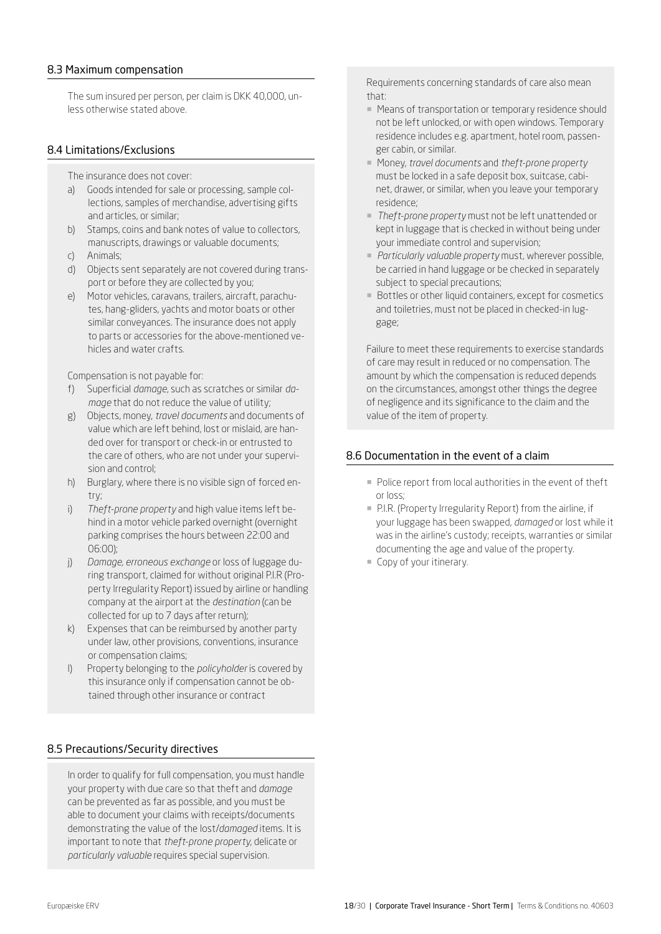#### <span id="page-17-0"></span>8.3 Maximum compensation

The sum insured per person, per claim is DKK 40,000, unless otherwise stated above.

#### 8.4 Limitations/Exclusions

- The insurance does not cover:
- a) Goods intended for sale or processing, sample collections, samples of merchandise, advertising gifts and articles, or similar;
- b) Stamps, coins and bank notes of value to collectors, manuscripts, drawings or valuable documents;
- c) Animals;
- d) Objects sent separately are not covered during transport or before they are collected by you;
- e) Motor vehicles, caravans, trailers, aircraft, parachutes, hang-gliders, yachts and motor boats or other similar conveyances. The insurance does not apply to parts or accessories for the above-mentioned vehicles and water crafts.

Compensation is not payable for:

- f) Superficial *damage*, such as scratches or similar *damage* that do not reduce the value of utility;
- g) Objects, money, *travel documents* and documents of value which are left behind, lost or mislaid, are handed over for transport or check-in or entrusted to the care of others, who are not under your supervision and control;
- h) Burglary, where there is no visible sign of forced entry;
- i) *Theft-prone property* and high value items left behind in a motor vehicle parked overnight (overnight parking comprises the hours between 22:00 and 06:00);
- j) *Damage, erroneous exchange* or loss of luggage during transport, claimed for without original P.I.R (Property Irregularity Report) issued by airline or handling company at the airport at the *destination* (can be collected for up to 7 days after return);
- k) Expenses that can be reimbursed by another party under law, other provisions, conventions, insurance or compensation claims;
- l) Property belonging to the *policyholder* is covered by this insurance only if compensation cannot be obtained through other insurance or contract

#### 8.5 Precautions/Security directives

In order to qualify for full compensation, you must handle your property with due care so that theft and *damage* can be prevented as far as possible, and you must be able to document your claims with receipts/documents demonstrating the value of the lost/*damaged* items. It is important to note that *theft-prone property*, delicate or *particularly valuable* requires special supervision.

Requirements concerning standards of care also mean that:

- Means of transportation or temporary residence should not be left unlocked, or with open windows. Temporary residence includes e.g. apartment, hotel room, passenger cabin, or similar.
- ¡ Money, *travel documents* and *theft-prone property* must be locked in a safe deposit box, suitcase, cabinet, drawer, or similar, when you leave your temporary residence;
- ¡ *Theft-prone property* must not be left unattended or kept in luggage that is checked in without being under your immediate control and supervision;
- ¡ *Particularly valuable property* must, wherever possible, be carried in hand luggage or be checked in separately subject to special precautions;
- Bottles or other liquid containers, except for cosmetics and toiletries, must not be placed in checked-in luggage;

Failure to meet these requirements to exercise standards of care may result in reduced or no compensation. The amount by which the compensation is reduced depends on the circumstances, amongst other things the degree of negligence and its significance to the claim and the value of the item of property.

## 8.6 Documentation in the event of a claim

- Police report from local authorities in the event of theft or loss;
- ¡ P.I.R. (Property Irregularity Report) from the airline, if your luggage has been swapped, *damaged* or lost while it was in the airline's custody; receipts, warranties or similar documenting the age and value of the property.
- ¡ Copy of your itinerary.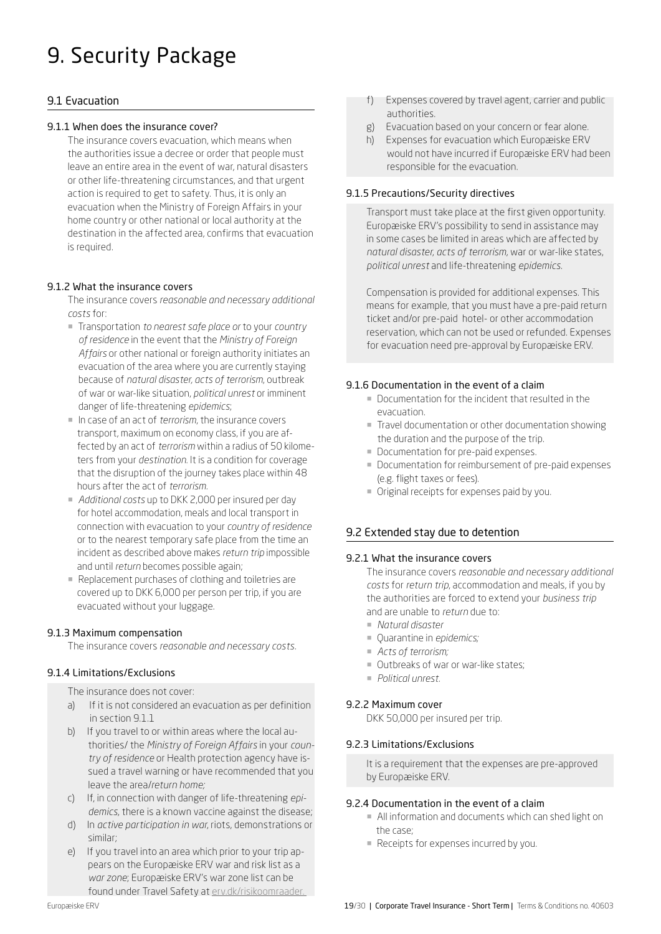# <span id="page-18-0"></span>9. Security Package

## 9.1 Evacuation

## 9.1.1 When does the insurance cover?

The insurance covers evacuation, which means when the authorities issue a decree or order that people must leave an entire area in the event of war, natural disasters or other life-threatening circumstances, and that urgent action is required to get to safety. Thus, it is only an evacuation when the Ministry of Foreign Affairs in your home country or other national or local authority at the destination in the affected area, confirms that evacuation is required.

## 9.1.2 What the insurance covers

The insurance covers *reasonable and necessary additional costs* for:

- ¡ Transportation *to nearest safe place or* to your *country of residence* in the event that the *Ministry of Foreign Affairs* or other national or foreign authority initiates an evacuation of the area where you are currently staying because of *natural disaster, acts of terrorism*, outbreak of war or war-like situation, *political unrest* or imminent danger of life-threatening *epidemics*;
- ¡ In case of an act of *terrorism*, the insurance covers transport, maximum on economy class, if you are affected by an act of *terrorism* within a radius of 50 kilometers from your *destination*. It is a condition for coverage that the disruption of the journey takes place within 48 hours after the act of *terrorism.*
- ¡ *Additional costs* up to DKK 2,000 per insured per day for hotel accommodation, meals and local transport in connection with evacuation to your *country of residence* or to the nearest temporary safe place from the time an incident as described above makes *return trip* impossible and until *return* becomes possible again;
- Replacement purchases of clothing and toiletries are covered up to DKK 6,000 per person per trip, if you are evacuated without your luggage.

## 9.1.3 Maximum compensation

The insurance covers *reasonable and necessary costs.* 

## 9.1.4 Limitations/Exclusions

The insurance does not cover:

- a) If it is not considered an evacuation as per definition in section 9.1.1
- b) If you travel to or within areas where the local authorities/ the *Ministry of Foreign Affairs* in your *country of residence* or Health protection agency have issued a travel warning or have recommended that you leave the area/*return home;*
- c) If, in connection with danger of life-threatening *epidemics*, there is a known vaccine against the disease;
- d) In *active participation in war*, riots, demonstrations or similar;
- e) If you travel into an area which prior to your trip appears on the Europæiske ERV war and risk list as a *war zone*; Europæiske ERV's war zone list can be found under Travel Safety at [erv.dk/risikoomraader.](http://www.erv.dk/risikoomraader )
- f) Expenses covered by travel agent, carrier and public authorities.
- g) Evacuation based on your concern or fear alone.
- h) Expenses for evacuation which Europæiske ERV would not have incurred if Europæiske ERV had been responsible for the evacuation.

## 9.1.5 Precautions/Security directives

Transport must take place at the first given opportunity. Europæiske ERV's possibility to send in assistance may in some cases be limited in areas which are affected by *natural disaster*, *acts of terrorism,* war or war-like states, *political unrest* and life-threatening *epidemics*.

Compensation is provided for additional expenses. This means for example, that you must have a pre-paid return ticket and/or pre-paid hotel- or other accommodation reservation, which can not be used or refunded. Expenses for evacuation need pre-approval by Europæiske ERV.

## 9.1.6 Documentation in the event of a claim

- ¡ Documentation for the incident that resulted in the evacuation.
- ¡ Travel documentation or other documentation showing the duration and the purpose of the trip.
- **Documentation for pre-paid expenses.**
- ¡ Documentation for reimbursement of pre-paid expenses (e.g. flight taxes or fees).
- ¡ Original receipts for expenses paid by you.

## 9.2 Extended stay due to detention

## 9.2.1 What the insurance covers

The insurance covers *reasonable and necessary additional costs* for *return trip*, accommodation and meals, if you by the authorities are forced to extend your *business trip*  and are unable to *return* due to:

- ¡ *Natural disaster*
- ¡ Quarantine in *epidemics;*
- *Acts of terrorism;*
- ¡ Outbreaks of war or war-like states;
- ¡ *Political unrest.*

## 9.2.2 Maximum cover

DKK 50,000 per insured per trip.

## 9.2.3 Limitations/Exclusions

It is a requirement that the expenses are pre-approved by Europæiske ERV.

## 9.2.4 Documentation in the event of a claim

- ¡ All information and documents which can shed light on the case;
- Receipts for expenses incurred by you.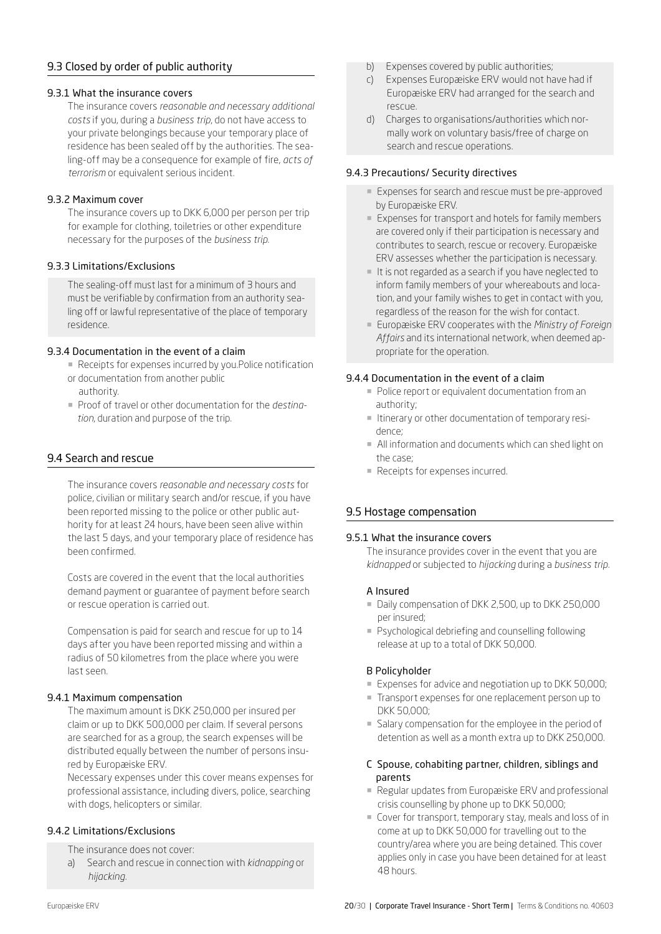## 9.3 Closed by order of public authority

#### 9.3.1 What the insurance covers

The insurance covers *reasonable and necessary additional costs* if you, during a *business trip*, do not have access to your private belongings because your temporary place of residence has been sealed off by the authorities. The sealing-off may be a consequence for example of fire, *acts of terrorism* or equivalent serious incident.

#### 9.3.2 Maximum cover

The insurance covers up to DKK 6,000 per person per trip for example for clothing, toiletries or other expenditure necessary for the purposes of the *business trip.* 

#### 9.3.3 Limitations/Exclusions

The sealing-off must last for a minimum of 3 hours and must be verifiable by confirmation from an authority sealing off or lawful representative of the place of temporary residence.

#### 9.3.4 Documentation in the event of a claim

- Receipts for expenses incurred by you.Police notification
- or documentation from another public authority.
- ¡ Proof of travel or other documentation for the *destination*, duration and purpose of the trip.

## 9.4 Search and rescue

The insurance covers *reasonable and necessary costs* for police, civilian or military search and/or rescue, if you have been reported missing to the police or other public authority for at least 24 hours, have been seen alive within the last 5 days, and your temporary place of residence has been confirmed.

Costs are covered in the event that the local authorities demand payment or guarantee of payment before search or rescue operation is carried out.

Compensation is paid for search and rescue for up to 14 days after you have been reported missing and within a radius of 50 kilometres from the place where you were last seen.

## 9.4.1 Maximum compensation

The maximum amount is DKK 250,000 per insured per claim or up to DKK 500,000 per claim. If several persons are searched for as a group, the search expenses will be distributed equally between the number of persons insured by Europæiske ERV.

Necessary expenses under this cover means expenses for professional assistance, including divers, police, searching with dogs, helicopters or similar.

#### 9.4.2 Limitations/Exclusions

The insurance does not cover:

a) Search and rescue in connection with *kidnapping* or *hijacking*.

- b) Expenses covered by public authorities;
- c) Expenses Europæiske ERV would not have had if Europæiske ERV had arranged for the search and rescue.
- d) Charges to organisations/authorities which normally work on voluntary basis/free of charge on search and rescue operations.

#### 9.4.3 Precautions/ Security directives

- Expenses for search and rescue must be pre-approved by Europæiske ERV.
- Expenses for transport and hotels for family members are covered only if their participation is necessary and contributes to search, rescue or recovery. Europæiske ERV assesses whether the participation is necessary.
- ¡ It is not regarded as a search if you have neglected to inform family members of your whereabouts and location, and your family wishes to get in contact with you, regardless of the reason for the wish for contact.
- ¡ Europæiske ERV cooperates with the *Ministry of Foreign Affairs* and its international network, when deemed appropriate for the operation.

#### 9.4.4 Documentation in the event of a claim

- Police report or equivalent documentation from an authority;
- ¡ Itinerary or other documentation of temporary residence;
- ¡ All information and documents which can shed light on the case;
- Receipts for expenses incurred.

## 9.5 Hostage compensation

#### 9.5.1 What the insurance covers

The insurance provides cover in the event that you are *kidnapped* or subjected to *hijacking* during a *business trip.*

#### A Insured

- Daily compensation of DKK 2,500, up to DKK 250,000 per insured;
- **Psychological debriefing and counselling following** release at up to a total of DKK 50,000.

#### B Policyholder

- Expenses for advice and negotiation up to DKK 50,000;
- ¡ Transport expenses for one replacement person up to DKK 50,000;
- ¡ Salary compensation for the employee in the period of detention as well as a month extra up to DKK 250,000.

#### C Spouse, cohabiting partner, children, siblings and parents

- Regular updates from Europæiske ERV and professional crisis counselling by phone up to DKK 50,000;
- ¡ Cover for transport, temporary stay, meals and loss of in come at up to DKK 50,000 for travelling out to the country/area where you are being detained. This cover applies only in case you have been detained for at least 48 hours.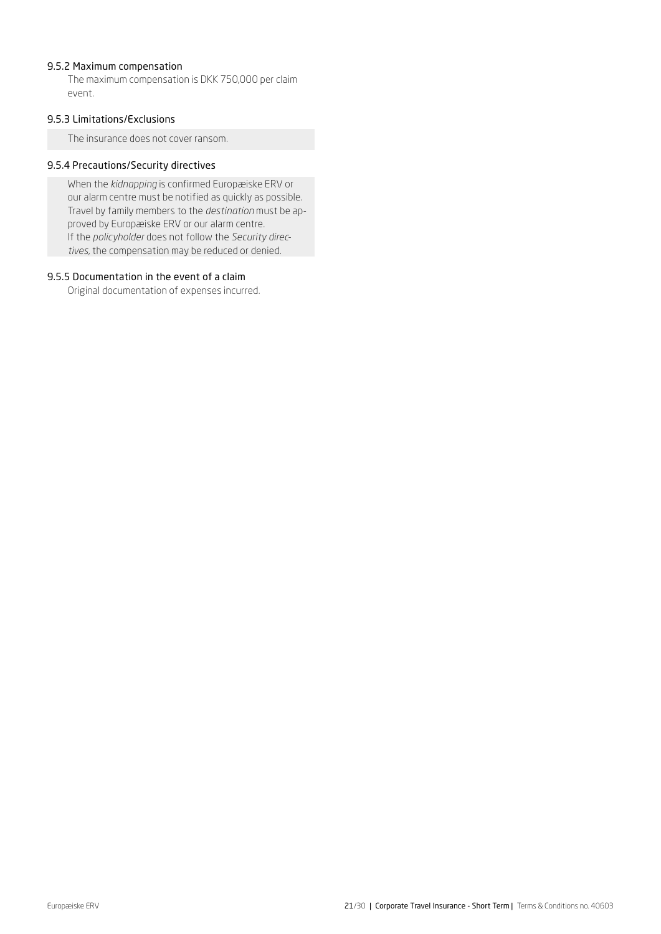## 9.5.2 Maximum compensation

The maximum compensation is DKK 750,000 per claim event.

#### 9.5.3 Limitations/Exclusions

The insurance does not cover ransom.

## 9.5.4 Precautions/Security directives

When the *kidnapping* is confirmed Europæiske ERV or our alarm centre must be notified as quickly as possible. Travel by family members to the *destination* must be approved by Europæiske ERV or our alarm centre. If the *policyholder* does not follow the *Security directives*, the compensation may be reduced or denied.

#### 9.5.5 Documentation in the event of a claim

Original documentation of expenses incurred.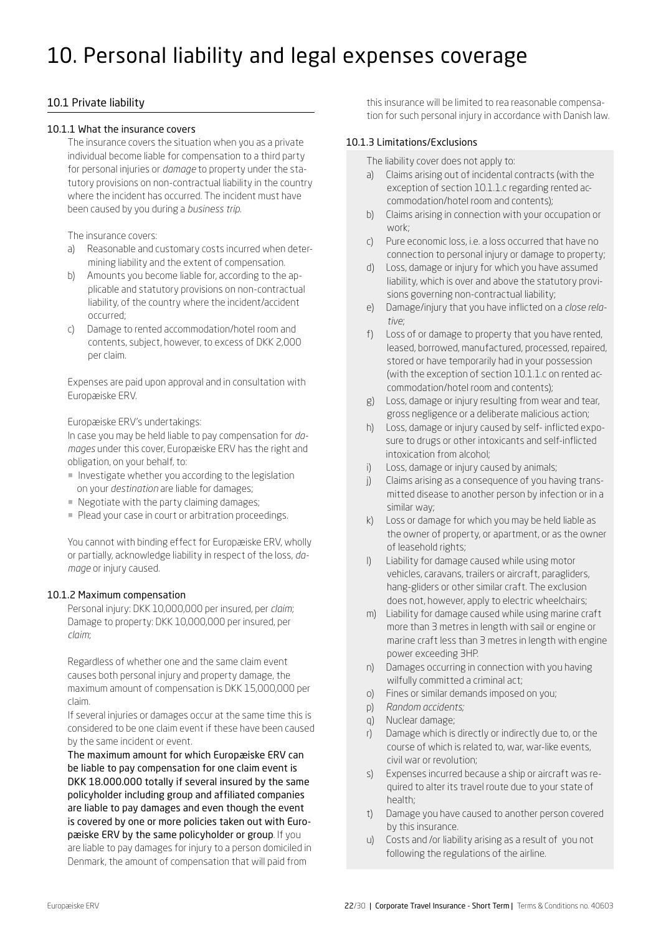## <span id="page-21-0"></span>10. Personal liability and legal expenses coverage

## 10.1 Private liability

#### 10.1.1 What the insurance covers

The insurance covers the situation when you as a private individual become liable for compensation to a third party for personal injuries or *damage* to property under the statutory provisions on non-contractual liability in the country where the incident has occurred. The incident must have been caused by you during a *business trip*.

The insurance covers:

- a) Reasonable and customary costs incurred when determining liability and the extent of compensation.
- b) Amounts you become liable for, according to the applicable and statutory provisions on non-contractual liability, of the country where the incident/accident occurred;
- c) Damage to rented accommodation/hotel room and contents, subject, however, to excess of DKK 2,000 per claim.

Expenses are paid upon approval and in consultation with Europæiske ERV.

Europæiske ERV's undertakings:

In case you may be held liable to pay compensation for *damages* under this cover, Europæiske ERV has the right and obligation, on your behalf, to:

- ¡ Investigate whether you according to the legislation on your *destination* are liable for damages;
- Negotiate with the party claiming damages;
- ¡ Plead your case in court or arbitration proceedings.

You cannot with binding effect for Europæiske ERV, wholly or partially, acknowledge liability in respect of the loss, *damage* or injury caused.

#### 10.1.2 Maximum compensation

Personal injury: DKK 10,000,000 per insured, per *claim*; Damage to property: DKK 10,000,000 per insured, per *claim*;

Regardless of whether one and the same claim event causes both personal injury and property damage, the maximum amount of compensation is DKK 15,000,000 per claim.

If several injuries or damages occur at the same time this is considered to be one claim event if these have been caused by the same incident or event.

The maximum amount for which Europæiske ERV can be liable to pay compensation for one claim event is DKK 18.000.000 totally if several insured by the same policyholder including group and affiliated companies are liable to pay damages and even though the event is covered by one or more policies taken out with Europæiske ERV by the same policyholder or group. If you are liable to pay damages for injury to a person domiciled in Denmark, the amount of compensation that will paid from

this insurance will be limited to rea reasonable compensation for such personal injury in accordance with Danish law.

#### 10.1.3 Limitations/Exclusions

The liability cover does not apply to:

- a) Claims arising out of incidental contracts (with the exception of section 10.1.1.c regarding rented accommodation/hotel room and contents);
- b) Claims arising in connection with your occupation or work;
- c) Pure economic loss, i.e. a loss occurred that have no connection to personal injury or damage to property;
- d) Loss, damage or injury for which you have assumed liability, which is over and above the statutory provisions governing non-contractual liability;
- e) Damage/injury that you have inflicted on a *close relative*;
- f) Loss of or damage to property that you have rented, leased, borrowed, manufactured, processed, repaired, stored or have temporarily had in your possession (with the exception of section 10.1.1.c on rented accommodation/hotel room and contents);
- g) Loss, damage or injury resulting from wear and tear, gross negligence or a deliberate malicious action;
- h) Loss, damage or injury caused by self- inflicted expo sure to drugs or other intoxicants and self-inflicted intoxication from alcohol;
- i) Loss, damage or injury caused by animals;
- j) Claims arising as a consequence of you having transmitted disease to another person by infection or in a similar way;
- k) Loss or damage for which you may be held liable as the owner of property, or apartment, or as the owner of leasehold rights;
- l) Liability for damage caused while using motor vehicles, caravans, trailers or aircraft, paragliders, hang-gliders or other similar craft. The exclusion does not, however, apply to electric wheelchairs;
- m) Liability for damage caused while using marine craft more than 3 metres in length with sail or engine or marine craft less than 3 metres in length with engine power exceeding 3HP.
- n) Damages occurring in connection with you having wilfully committed a criminal act;
- o) Fines or similar demands imposed on you;
- p) *Random accidents;*
- q) Nuclear damage;
- r) Damage which is directly or indirectly due to, or the course of which is related to, war, war-like events, civil war or revolution;
- s) Expenses incurred because a ship or aircraft was required to alter its travel route due to your state of health;
- t) Damage you have caused to another person covered by this insurance.
- u) Costs and /or liability arising as a result of you not following the regulations of the airline.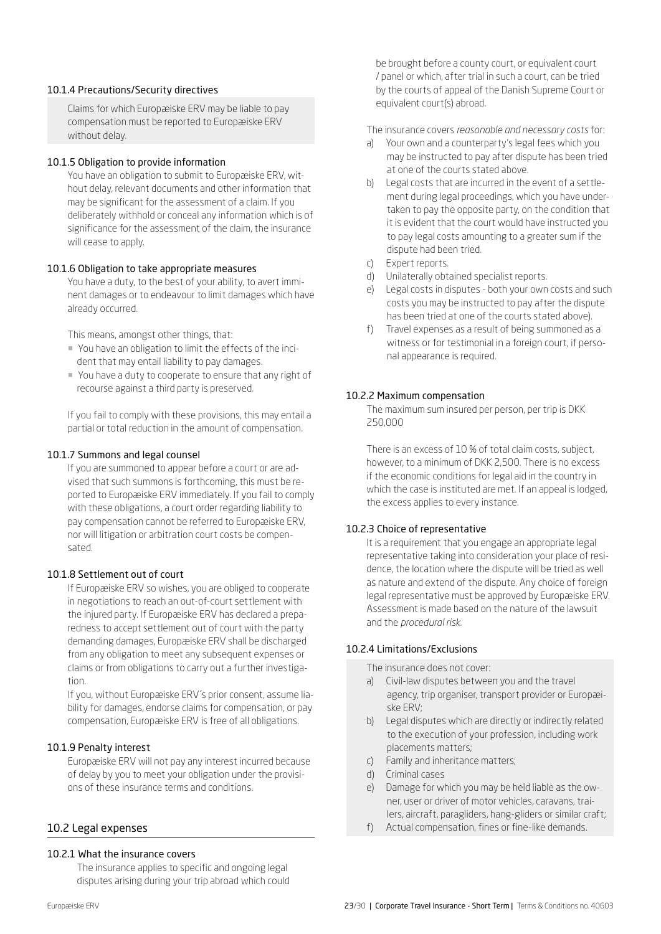#### 10.1.4 Precautions/Security directives

Claims for which Europæiske ERV may be liable to pay compensation must be reported to Europæiske ERV without delay.

#### 10.1.5 Obligation to provide information

You have an obligation to submit to Europæiske ERV, without delay, relevant documents and other information that may be significant for the assessment of a claim. If you deliberately withhold or conceal any information which is of significance for the assessment of the claim, the insurance will cease to apply.

## 10.1.6 Obligation to take appropriate measures

You have a duty, to the best of your ability, to avert imminent damages or to endeavour to limit damages which have already occurred.

This means, amongst other things, that:

- ¡ You have an obligation to limit the effects of the incident that may entail liability to pay damages.
- ¡ You have a duty to cooperate to ensure that any right of recourse against a third party is preserved.

If you fail to comply with these provisions, this may entail a partial or total reduction in the amount of compensation.

#### 10.1.7 Summons and legal counsel

If you are summoned to appear before a court or are advised that such summons is forthcoming, this must be reported to Europæiske ERV immediately. If you fail to comply with these obligations, a court order regarding liability to pay compensation cannot be referred to Europæiske ERV, nor will litigation or arbitration court costs be compensated.

#### 10.1.8 Settlement out of court

If Europæiske ERV so wishes, you are obliged to cooperate in negotiations to reach an out-of-court settlement with the injured party. If Europæiske ERV has declared a preparedness to accept settlement out of court with the party demanding damages, Europæiske ERV shall be discharged from any obligation to meet any subsequent expenses or claims or from obligations to carry out a further investigation.

If you, without Europæiske ERV´s prior consent, assume liability for damages, endorse claims for compensation, or pay compensation, Europæiske ERV is free of all obligations.

#### 10.1.9 Penalty interest

Europæiske ERV will not pay any interest incurred because of delay by you to meet your obligation under the provisions of these insurance terms and conditions.

#### 10.2 Legal expenses

#### 10.2.1 What the insurance covers

The insurance applies to specific and ongoing legal disputes arising during your trip abroad which could be brought before a county court, or equivalent court / panel or which, after trial in such a court, can be tried by the courts of appeal of the Danish Supreme Court or equivalent court(s) abroad.

The insurance covers *reasonable and necessary costs* for:

- a) Your own and a counterparty's legal fees which you may be instructed to pay after dispute has been tried at one of the courts stated above.
- b) Legal costs that are incurred in the event of a settlement during legal proceedings, which you have undertaken to pay the opposite party, on the condition that it is evident that the court would have instructed you to pay legal costs amounting to a greater sum if the dispute had been tried.
- c) Expert reports.
- d) Unilaterally obtained specialist reports.
- e) Legal costs in disputes both your own costs and such costs you may be instructed to pay after the dispute has been tried at one of the courts stated above).
- Travel expenses as a result of being summoned as a witness or for testimonial in a foreign court, if personal appearance is required.

#### 10.2.2 Maximum compensation

The maximum sum insured per person, per trip is DKK 250,000

There is an excess of 10 % of total claim costs, subject, however, to a minimum of DKK 2,500. There is no excess if the economic conditions for legal aid in the country in which the case is instituted are met. If an appeal is lodged, the excess applies to every instance.

#### 10.2.3 Choice of representative

It is a requirement that you engage an appropriate legal representative taking into consideration your place of residence, the location where the dispute will be tried as well as nature and extend of the dispute. Any choice of foreign legal representative must be approved by Europæiske ERV. Assessment is made based on the nature of the lawsuit and the *procedural risk.* 

#### 10.2.4 Limitations/Exclusions

The insurance does not cover:

- a) Civil-law disputes between you and the travel agency, trip organiser, transport provider or Europæiske ERV;
- b) Legal disputes which are directly or indirectly related to the execution of your profession, including work placements matters;
- c) Family and inheritance matters;
- d) Criminal cases
- e) Damage for which you may be held liable as the owner, user or driver of motor vehicles, caravans, trailers, aircraft, paragliders, hang-gliders or similar craft;
- f) Actual compensation, fines or fine-like demands.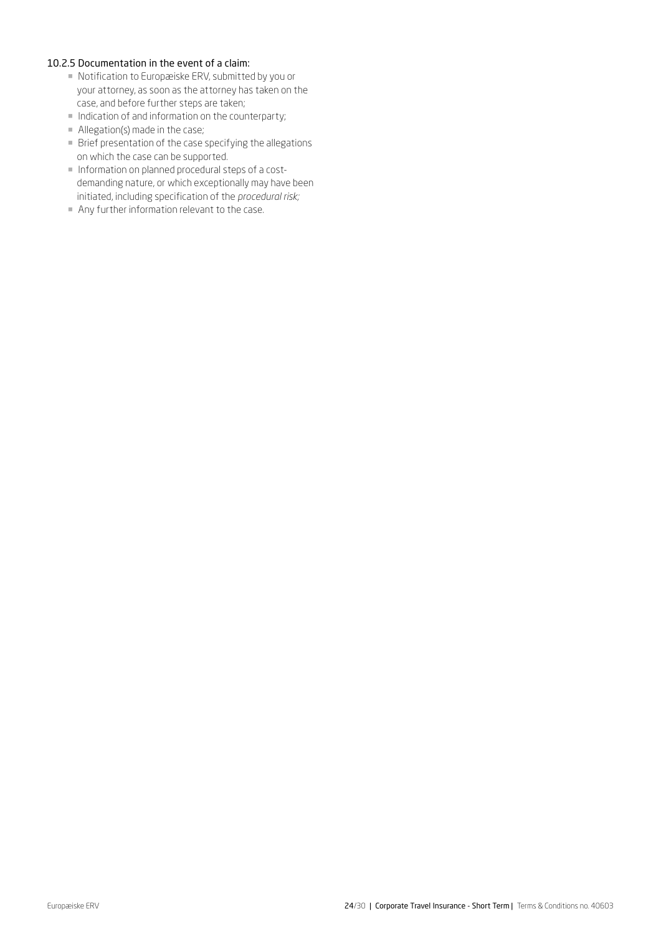#### 10.2.5 Documentation in the event of a claim:

- ¡ Notification to Europæiske ERV, submitted by you or your attorney, as soon as the attorney has taken on the case, and before further steps are taken;
- ¡ Indication of and information on the counterparty;
- Allegation(s) made in the case;
- $\blacksquare$  Brief presentation of the case specifying the allegations on which the case can be supported.
- ¡ Information on planned procedural steps of a costdemanding nature, or which exceptionally may have been initiated, including specification of the *procedural risk;*
- ¡ Any further information relevant to the case.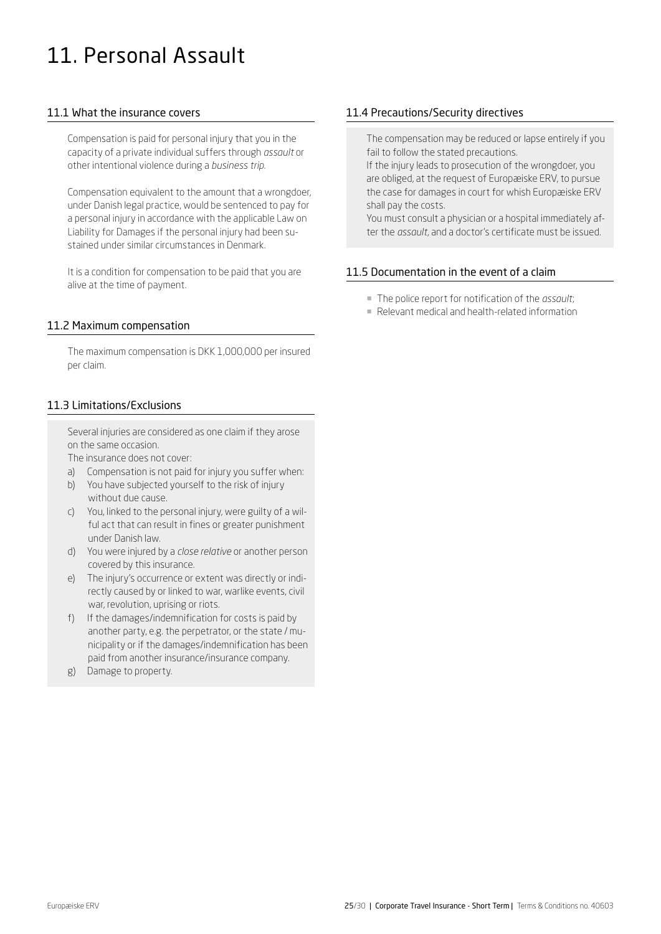## <span id="page-24-0"></span>11. Personal Assault

## 11.1 What the insurance covers

Compensation is paid for personal injury that you in the capacity of a private individual suffers through *assault* or other intentional violence during a *business trip.* 

Compensation equivalent to the amount that a wrongdoer, under Danish legal practice, would be sentenced to pay for a personal injury in accordance with the applicable Law on Liability for Damages if the personal injury had been sustained under similar circumstances in Denmark.

It is a condition for compensation to be paid that you are alive at the time of payment.

## 11.2 Maximum compensation

The maximum compensation is DKK 1,000,000 per insured per claim.

## 11.3 Limitations/Exclusions

Several injuries are considered as one claim if they arose on the same occasion.

The insurance does not cover:

- a) Compensation is not paid for injury you suffer when:
- b) You have subjected yourself to the risk of injury without due cause.
- c) You, linked to the personal injury, were guilty of a wilful act that can result in fines or greater punishment under Danish law.
- d) You were injured by a *close relative* or another person covered by this insurance.
- e) The injury's occurrence or extent was directly or indirectly caused by or linked to war, warlike events, civil war, revolution, uprising or riots.
- f) If the damages/indemnification for costs is paid by another party, e.g. the perpetrator, or the state / municipality or if the damages/indemnification has been paid from another insurance/insurance company.
- g) Damage to property.

## 11.4 Precautions/Security directives

The compensation may be reduced or lapse entirely if you fail to follow the stated precautions.

If the injury leads to prosecution of the wrongdoer, you are obliged, at the request of Europæiske ERV, to pursue the case for damages in court for whish Europæiske ERV shall pay the costs.

You must consult a physician or a hospital immediately after the *assault*, and a doctor's certificate must be issued.

## 11.5 Documentation in the event of a claim

- ¡ The police report for notification of the *assault*;
- ¡ Relevant medical and health-related information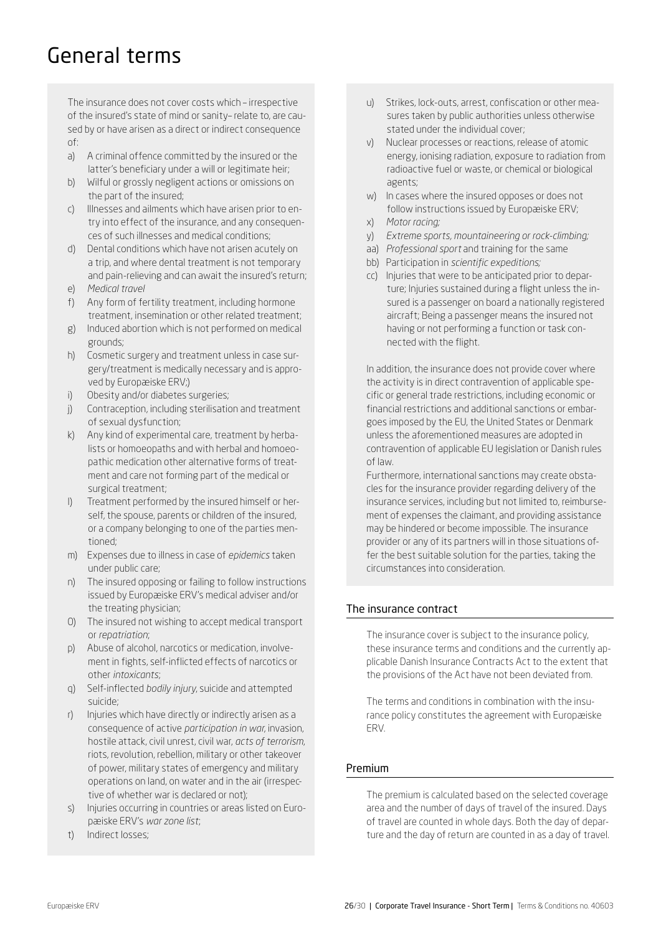## General terms

The insurance does not cover costs which – irrespective of the insured's state of mind or sanity– relate to, are caused by or have arisen as a direct or indirect consequence of:

- a) A criminal offence committed by the insured or the latter's beneficiary under a will or legitimate heir;
- b) Wilful or grossly negligent actions or omissions on the part of the insured;
- c) Illnesses and ailments which have arisen prior to entry into effect of the insurance, and any consequences of such illnesses and medical conditions;
- d) Dental conditions which have not arisen acutely on a trip, and where dental treatment is not temporary and pain-relieving and can await the insured's return; e) *Medical travel*
- 
- f) Any form of fertility treatment, including hormone treatment, insemination or other related treatment;
- g) Induced abortion which is not performed on medical grounds;
- h) Cosmetic surgery and treatment unless in case surgery/treatment is medically necessary and is approved by Europæiske ERV;)
- i) Obesity and/or diabetes surgeries;
- j) Contraception, including sterilisation and treatment of sexual dysfunction;
- k) Any kind of experimental care, treatment by herbalists or homoeopaths and with herbal and homoeopathic medication other alternative forms of treatment and care not forming part of the medical or surgical treatment;
- l) Treatment performed by the insured himself or herself, the spouse, parents or children of the insured, or a company belonging to one of the parties mentioned;
- m) Expenses due to illness in case of *epidemics* taken under public care;
- n) The insured opposing or failing to follow instructions issued by Europæiske ERV's medical adviser and/or the treating physician;
- 0) The insured not wishing to accept medical transport or *repatriation*;
- p) Abuse of alcohol, narcotics or medication, involvement in fights, self-inflicted effects of narcotics or other *intoxicants*;
- q) Self-inflected *bodily injury*, suicide and attempted suicide;
- r) Injuries which have directly or indirectly arisen as a consequence of active *participation in war*, invasion, hostile attack, civil unrest, civil war, *acts of terrorism*, riots, revolution, rebellion, military or other takeover of power, military states of emergency and military operations on land, on water and in the air (irrespective of whether war is declared or not);
- s) Injuries occurring in countries or areas listed on Europæiske ERV's *war zone list*;
- t) Indirect losses;
- u) Strikes, lock-outs, arrest, confiscation or other measures taken by public authorities unless otherwise stated under the individual cover;
- v) Nuclear processes or reactions, release of atomic energy, ionising radiation, exposure to radiation from radioactive fuel or waste, or chemical or biological agents;
- w) In cases where the insured opposes or does not follow instructions issued by Europæiske ERV;
- x) *Motor racing;*
- y) *Extreme sports, mountaineering or rock-climbing;*
- aa) *Professional sport* and training for the same
- bb) Participation in *scientific expeditions;*
- cc) Injuries that were to be anticipated prior to departure; Injuries sustained during a flight unless the insured is a passenger on board a nationally registered aircraft; Being a passenger means the insured not having or not performing a function or task connected with the flight.

In addition, the insurance does not provide cover where the activity is in direct contravention of applicable specific or general trade restrictions, including economic or financial restrictions and additional sanctions or embargoes imposed by the EU, the United States or Denmark unless the aforementioned measures are adopted in contravention of applicable EU legislation or Danish rules of law.

Furthermore, international sanctions may create obstacles for the insurance provider regarding delivery of the insurance services, including but not limited to, reimbursement of expenses the claimant, and providing assistance may be hindered or become impossible. The insurance provider or any of its partners will in those situations offer the best suitable solution for the parties, taking the circumstances into consideration.

## The insurance contract

The insurance cover is subject to the insurance policy, these insurance terms and conditions and the currently applicable Danish Insurance Contracts Act to the extent that the provisions of the Act have not been deviated from.

The terms and conditions in combination with the insurance policy constitutes the agreement with Europæiske ERV.

## Premium

The premium is calculated based on the selected coverage area and the number of days of travel of the insured. Days of travel are counted in whole days. Both the day of departure and the day of return are counted in as a day of travel.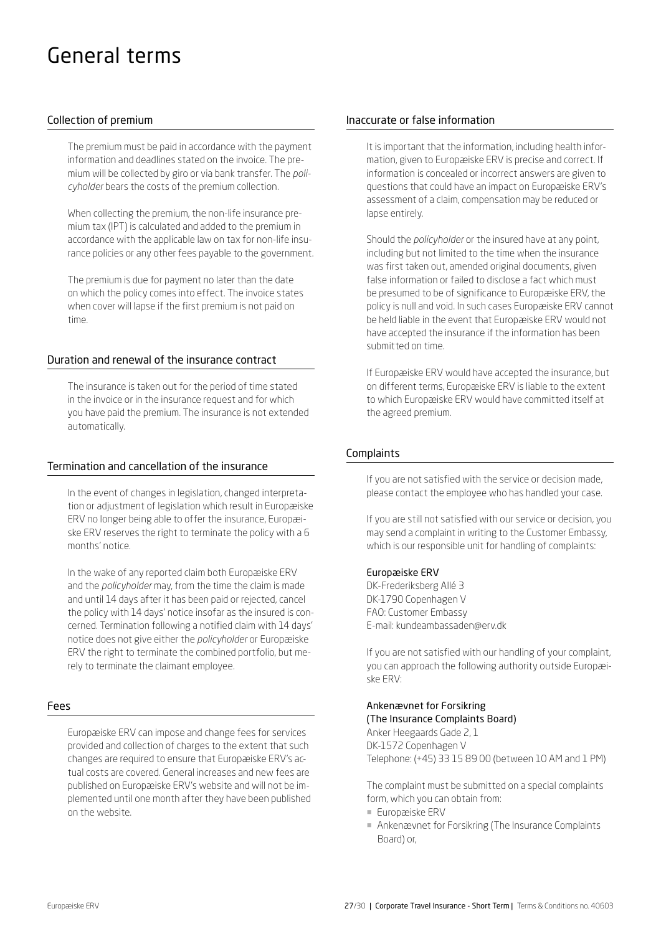## General terms

## Collection of premium

The premium must be paid in accordance with the payment information and deadlines stated on the invoice. The premium will be collected by giro or via bank transfer. The *policyholder* bears the costs of the premium collection.

When collecting the premium, the non-life insurance premium tax (IPT) is calculated and added to the premium in accordance with the applicable law on tax for non-life insurance policies or any other fees payable to the government.

The premium is due for payment no later than the date on which the policy comes into effect. The invoice states when cover will lapse if the first premium is not paid on time.

#### Duration and renewal of the insurance contract

The insurance is taken out for the period of time stated in the invoice or in the insurance request and for which you have paid the premium. The insurance is not extended automatically.

#### Termination and cancellation of the insurance

In the event of changes in legislation, changed interpretation or adjustment of legislation which result in Europæiske ERV no longer being able to offer the insurance, Europæiske ERV reserves the right to terminate the policy with a 6 months' notice.

In the wake of any reported claim both Europæiske ERV and the *policyholder* may, from the time the claim is made and until 14 days after it has been paid or rejected, cancel the policy with 14 days' notice insofar as the insured is concerned. Termination following a notified claim with 14 days' notice does not give either the *policyholder* or Europæiske ERV the right to terminate the combined portfolio, but merely to terminate the claimant employee.

#### Fees

Europæiske ERV can impose and change fees for services provided and collection of charges to the extent that such changes are required to ensure that Europæiske ERV's actual costs are covered. General increases and new fees are published on Europæiske ERV's website and will not be implemented until one month after they have been published on the website.

#### Inaccurate or false information

It is important that the information, including health information, given to Europæiske ERV is precise and correct. If information is concealed or incorrect answers are given to questions that could have an impact on Europæiske ERV's assessment of a claim, compensation may be reduced or lapse entirely.

Should the *policyholder* or the insured have at any point, including but not limited to the time when the insurance was first taken out, amended original documents, given false information or failed to disclose a fact which must be presumed to be of significance to Europæiske ERV, the policy is null and void. In such cases Europæiske ERV cannot be held liable in the event that Europæiske ERV would not have accepted the insurance if the information has been submitted on time.

If Europæiske ERV would have accepted the insurance, but on different terms, Europæiske ERV is liable to the extent to which Europæiske ERV would have committed itself at the agreed premium.

#### Complaints

If you are not satisfied with the service or decision made, please contact the employee who has handled your case.

If you are still not satisfied with our service or decision, you may send a complaint in writing to the Customer Embassy, which is our responsible unit for handling of complaints:

#### Europæiske ERV

DK-Frederiksberg Allé 3 DK-1790 Copenhagen V FAO: Customer Embassy E-mail: kundeambassaden@erv.dk

If you are not satisfied with our handling of your complaint, you can approach the following authority outside Europæiske ERV:

#### Ankenævnet for Forsikring (The Insurance Complaints Board)

Anker Heegaards Gade 2, 1 DK-1572 Copenhagen V Telephone: (+45) 33 15 89 00 (between 10 AM and 1 PM)

The complaint must be submitted on a special complaints form, which you can obtain from:

- Europæiske ERV
- ¡ Ankenævnet for Forsikring (The Insurance Complaints Board) or,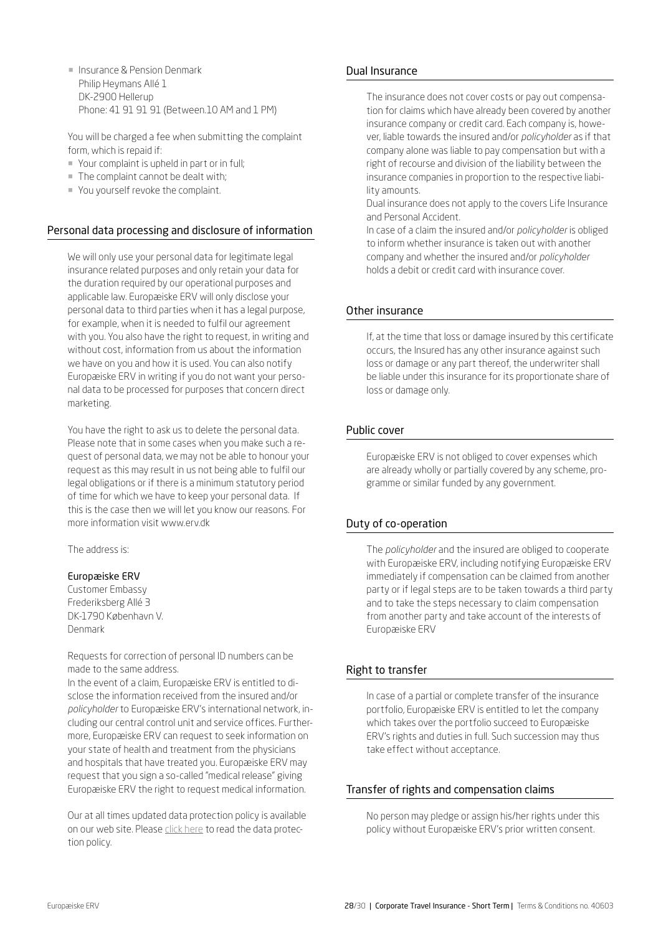**E** Insurance & Pension Denmark Philip Heymans Allé 1 DK-2900 Hellerup Phone: 41 91 91 91 (Between.10 AM and 1 PM)

You will be charged a fee when submitting the complaint form, which is repaid if:

- ¡ Your complaint is upheld in part or in full;
- The complaint cannot be dealt with;
- ¡ You yourself revoke the complaint.

## Personal data processing and disclosure of information

We will only use your personal data for legitimate legal insurance related purposes and only retain your data for the duration required by our operational purposes and applicable law. Europæiske ERV will only disclose your personal data to third parties when it has a legal purpose, for example, when it is needed to fulfil our agreement with you. You also have the right to request, in writing and without cost, information from us about the information we have on you and how it is used. You can also notify Europæiske ERV in writing if you do not want your personal data to be processed for purposes that concern direct marketing.

You have the right to ask us to delete the personal data. Please note that in some cases when you make such a request of personal data, we may not be able to honour your request as this may result in us not being able to fulfil our legal obligations or if there is a minimum statutory period of time for which we have to keep your personal data. If this is the case then we will let you know our reasons. For more information visit www.erv.dk

The address is:

## Europæiske ERV

Customer Embassy Frederiksberg Allé 3 DK-1790 København V. Denmark

Requests for correction of personal ID numbers can be made to the same address.

In the event of a claim, Europæiske ERV is entitled to disclose the information received from the insured and/or *policyholder* to Europæiske ERV's international network, including our central control unit and service offices. Furthermore, Europæiske ERV can request to seek information on your state of health and treatment from the physicians and hospitals that have treated you. Europæiske ERV may request that you sign a so-called "medical release" giving Europæiske ERV the right to request medical information.

Our at all times updated data protection policy is available on our web site. Please [click here](https://www.europaeiske.dk/privat/kundeservice/english/data-protection-policy/) to read the data protection policy.

#### Dual Insurance

The insurance does not cover costs or pay out compensation for claims which have already been covered by another insurance company or credit card. Each company is, however, liable towards the insured and/or *policyholder* as if that company alone was liable to pay compensation but with a right of recourse and division of the liability between the insurance companies in proportion to the respective liability amounts.

Dual insurance does not apply to the covers Life Insurance and Personal Accident.

In case of a claim the insured and/or *policyholder* is obliged to inform whether insurance is taken out with another company and whether the insured and/or *policyholder* holds a debit or credit card with insurance cover.

## Other insurance

If, at the time that loss or damage insured by this certificate occurs, the Insured has any other insurance against such loss or damage or any part thereof, the underwriter shall be liable under this insurance for its proportionate share of loss or damage only.

#### Public cover

Europæiske ERV is not obliged to cover expenses which are already wholly or partially covered by any scheme, programme or similar funded by any government.

## Duty of co-operation

The *policyholder* and the insured are obliged to cooperate with Europæiske ERV, including notifying Europæiske ERV immediately if compensation can be claimed from another party or if legal steps are to be taken towards a third party and to take the steps necessary to claim compensation from another party and take account of the interests of Europæiske ERV

## Right to transfer

In case of a partial or complete transfer of the insurance portfolio, Europæiske ERV is entitled to let the company which takes over the portfolio succeed to Europæiske ERV's rights and duties in full. Such succession may thus take effect without acceptance.

## Transfer of rights and compensation claims

No person may pledge or assign his/her rights under this policy without Europæiske ERV's prior written consent.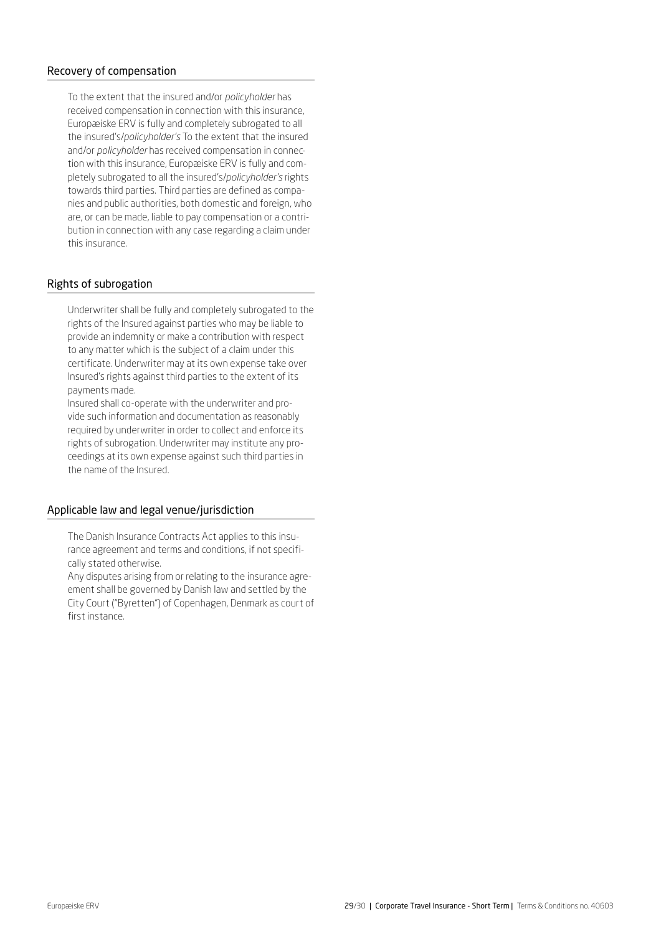#### Recovery of compensation

To the extent that the insured and/or *policyholder* has received compensation in connection with this insurance, Europæiske ERV is fully and completely subrogated to all the insured's/*policyholder's* To the extent that the insured and/or *policyholder* has received compensation in connection with this insurance, Europæiske ERV is fully and completely subrogated to all the insured's/*policyholder's* rights towards third parties. Third parties are defined as companies and public authorities, both domestic and foreign, who are, or can be made, liable to pay compensation or a contribution in connection with any case regarding a claim under this insurance.

## Rights of subrogation

Underwriter shall be fully and completely subrogated to the rights of the Insured against parties who may be liable to provide an indemnity or make a contribution with respect to any matter which is the subject of a claim under this certificate. Underwriter may at its own expense take over Insured's rights against third parties to the extent of its payments made.

Insured shall co-operate with the underwriter and provide such information and documentation as reasonably required by underwriter in order to collect and enforce its rights of subrogation. Underwriter may institute any proceedings at its own expense against such third parties in the name of the Insured.

#### Applicable law and legal venue/jurisdiction

The Danish Insurance Contracts Act applies to this insurance agreement and terms and conditions, if not specifically stated otherwise.

Any disputes arising from or relating to the insurance agreement shall be governed by Danish law and settled by the City Court ("Byretten") of Copenhagen, Denmark as court of first instance.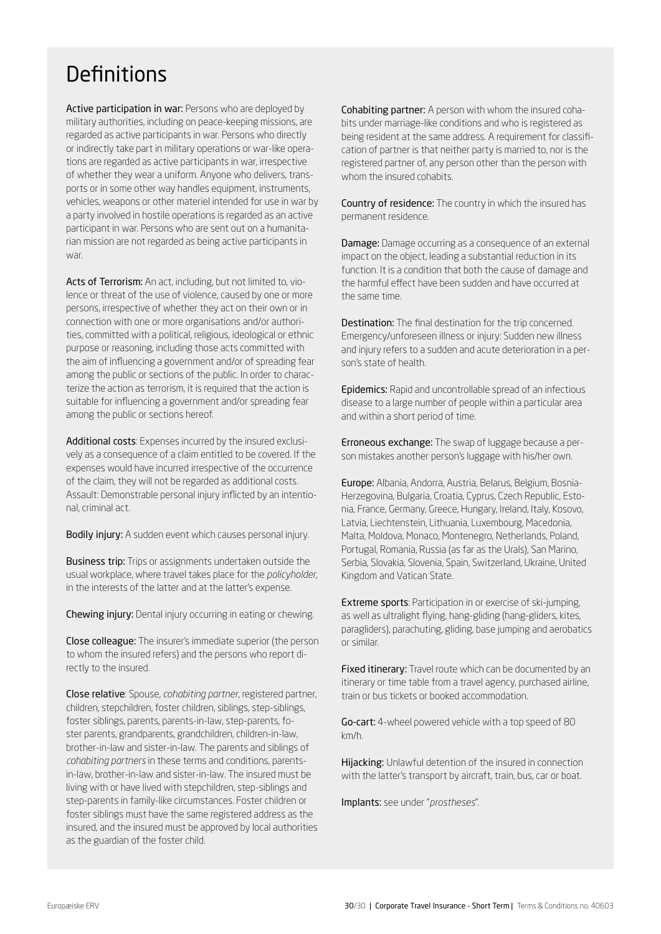## <span id="page-29-0"></span>**Definitions**

Active participation in war: Persons who are deployed by military authorities, including on peace-keeping missions, are regarded as active participants in war. Persons who directly or indirectly take part in military operations or war-like operations are regarded as active participants in war, irrespective of whether they wear a uniform. Anyone who delivers, transports or in some other way handles equipment, instruments, vehicles, weapons or other materiel intended for use in war by a party involved in hostile operations is regarded as an active participant in war. Persons who are sent out on a humanitarian mission are not regarded as being active participants in war.

Acts of Terrorism: An act, including, but not limited to, violence or threat of the use of violence, caused by one or more persons, irrespective of whether they act on their own or in connection with one or more organisations and/or authorities, committed with a political, religious, ideological or ethnic purpose or reasoning, including those acts committed with the aim of influencing a government and/or of spreading fear among the public or sections of the public. In order to characterize the action as terrorism, it is required that the action is suitable for influencing a government and/or spreading fear among the public or sections hereof.

Additional costs: Expenses incurred by the insured exclusively as a consequence of a claim entitled to be covered. If the expenses would have incurred irrespective of the occurrence of the claim, they will not be regarded as additional costs. Assault: Demonstrable personal injury inflicted by an intentional, criminal act.

Bodily injury: A sudden event which causes personal injury.

**Business trip:** Trips or assignments undertaken outside the usual workplace, where travel takes place for the *policyholder*, in the interests of the latter and at the latter's expense.

Chewing injury: Dental injury occurring in eating or chewing.

Close colleague: The insurer's immediate superior (the person to whom the insured refers) and the persons who report directly to the insured.

Close relative: Spouse, *cohabiting partner*, registered partner, children, stepchildren, foster children, siblings, step-siblings, foster siblings, parents, parents-in-law, step-parents, foster parents, grandparents, grandchildren, children-in-law, brother-in-law and sister-in-law. The parents and siblings of *cohabiting partners* in these terms and conditions, parentsin-law, brother-in-law and sister-in-law. The insured must be living with or have lived with stepchildren, step-siblings and step-parents in family-like circumstances. Foster children or foster siblings must have the same registered address as the insured, and the insured must be approved by local authorities as the guardian of the foster child.

Cohabiting partner: A person with whom the insured cohabits under marriage-like conditions and who is registered as being resident at the same address. A requirement for classification of partner is that neither party is married to, nor is the registered partner of, any person other than the person with whom the insured cohabits.

Country of residence: The country in which the insured has permanent residence.

**Damage:** Damage occurring as a consequence of an external impact on the object, leading a substantial reduction in its function. It is a condition that both the cause of damage and the harmful effect have been sudden and have occurred at the same time.

Destination: The final destination for the trip concerned. Emergency/unforeseen illness or injury: Sudden new illness and injury refers to a sudden and acute deterioration in a person's state of health.

Epidemics: Rapid and uncontrollable spread of an infectious disease to a large number of people within a particular area and within a short period of time.

Erroneous exchange: The swap of luggage because a person mistakes another person's luggage with his/her own.

Europe: Albania, Andorra, Austria, Belarus, Belgium, Bosnia-Herzegovina, Bulgaria, Croatia, Cyprus, Czech Republic, Estonia, France, Germany, Greece, Hungary, Ireland, Italy, Kosovo, Latvia, Liechtenstein, Lithuania, Luxembourg, Macedonia, Malta, Moldova, Monaco, Montenegro, Netherlands, Poland, Portugal, Romania, Russia (as far as the Urals), San Marino, Serbia, Slovakia, Slovenia, Spain, Switzerland, Ukraine, United Kingdom and Vatican State.

Extreme sports: Participation in or exercise of ski-jumping, as well as ultralight flying, hang-gliding (hang-gliders, kites, paragliders), parachuting, gliding, base jumping and aerobatics or similar.

Fixed itinerary: Travel route which can be documented by an itinerary or time table from a travel agency, purchased airline, train or bus tickets or booked accommodation.

Go-cart: 4-wheel powered vehicle with a top speed of 80 km/h.

Hijacking: Unlawful detention of the insured in connection with the latter's transport by aircraft, train, bus, car or boat.

Implants: see under "*prostheses*".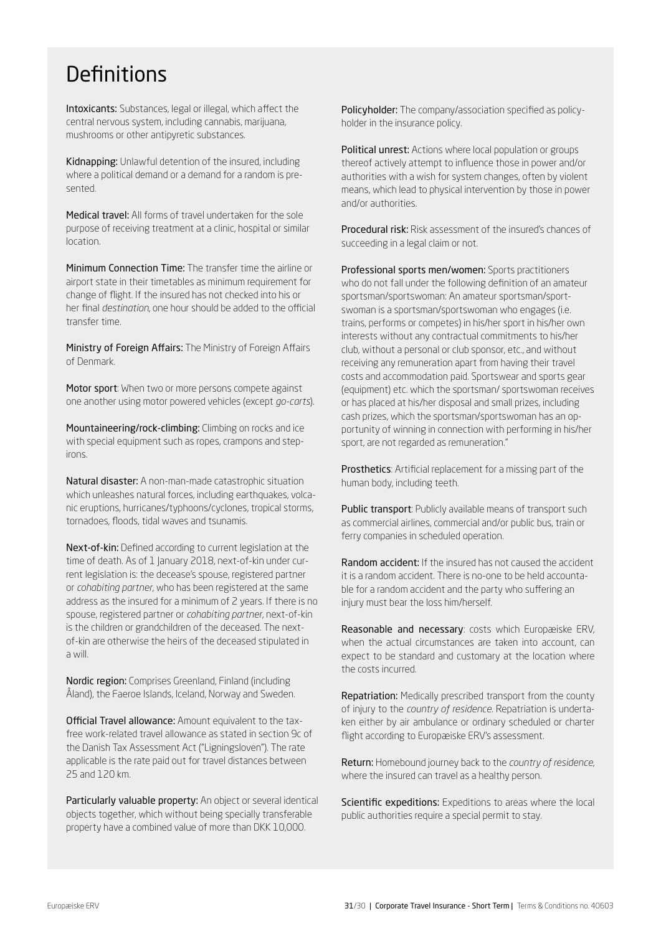## **Definitions**

Intoxicants: Substances, legal or illegal, which affect the central nervous system, including cannabis, marijuana, mushrooms or other antipyretic substances.

Kidnapping: Unlawful detention of the insured, including where a political demand or a demand for a random is presented.

Medical travel: All forms of travel undertaken for the sole purpose of receiving treatment at a clinic, hospital or similar location.

Minimum Connection Time: The transfer time the airline or airport state in their timetables as minimum requirement for change of flight. If the insured has not checked into his or her final *destination*, one hour should be added to the official transfer time.

Ministry of Foreign Affairs: The Ministry of Foreign Affairs of Denmark.

Motor sport: When two or more persons compete against one another using motor powered vehicles (except *go-carts*).

Mountaineering/rock-climbing: Climbing on rocks and ice with special equipment such as ropes, crampons and stepirons.

Natural disaster: A non-man-made catastrophic situation which unleashes natural forces, including earthquakes, volcanic eruptions, hurricanes/typhoons/cyclones, tropical storms, tornadoes, floods, tidal waves and tsunamis.

Next-of-kin: Defined according to current legislation at the time of death. As of 1 January 2018, next-of-kin under current legislation is: the decease's spouse, registered partner or *cohabiting partner*, who has been registered at the same address as the insured for a minimum of 2 years. If there is no spouse, registered partner or *cohabiting partner*, next-of-kin is the children or grandchildren of the deceased. The nextof-kin are otherwise the heirs of the deceased stipulated in a will.

Nordic region: Comprises Greenland, Finland (including Åland), the Faeroe Islands, Iceland, Norway and Sweden.

Official Travel allowance: Amount equivalent to the taxfree work-related travel allowance as stated in section 9c of the Danish Tax Assessment Act ("Ligningsloven"). The rate applicable is the rate paid out for travel distances between 25 and 120 km.

Particularly valuable property: An object or several identical objects together, which without being specially transferable property have a combined value of more than DKK 10,000.

Policyholder: The company/association specified as policyholder in the insurance policy.

Political unrest: Actions where local population or groups thereof actively attempt to influence those in power and/or authorities with a wish for system changes, often by violent means, which lead to physical intervention by those in power and/or authorities.

Procedural risk: Risk assessment of the insured's chances of succeeding in a legal claim or not.

Professional sports men/women: Sports practitioners who do not fall under the following definition of an amateur sportsman/sportswoman: An amateur sportsman/sportswoman is a sportsman/sportswoman who engages (i.e. trains, performs or competes) in his/her sport in his/her own interests without any contractual commitments to his/her club, without a personal or club sponsor, etc., and without receiving any remuneration apart from having their travel costs and accommodation paid. Sportswear and sports gear (equipment) etc. which the sportsman/ sportswoman receives or has placed at his/her disposal and small prizes, including cash prizes, which the sportsman/sportswoman has an opportunity of winning in connection with performing in his/her sport, are not regarded as remuneration."

Prosthetics: Artificial replacement for a missing part of the human body, including teeth.

Public transport: Publicly available means of transport such as commercial airlines, commercial and/or public bus, train or ferry companies in scheduled operation.

Random accident: If the insured has not caused the accident it is a random accident. There is no-one to be held accountable for a random accident and the party who suffering an injury must bear the loss him/herself.

Reasonable and necessary: costs which Europæiske ERV, when the actual circumstances are taken into account, can expect to be standard and customary at the location where the costs incurred.

Repatriation: Medically prescribed transport from the county of injury to the *country of residence*. Repatriation is undertaken either by air ambulance or ordinary scheduled or charter flight according to Europæiske ERV's assessment.

Return: Homebound journey back to the *country of residence*, where the insured can travel as a healthy person.

Scientific expeditions: Expeditions to areas where the local public authorities require a special permit to stay.